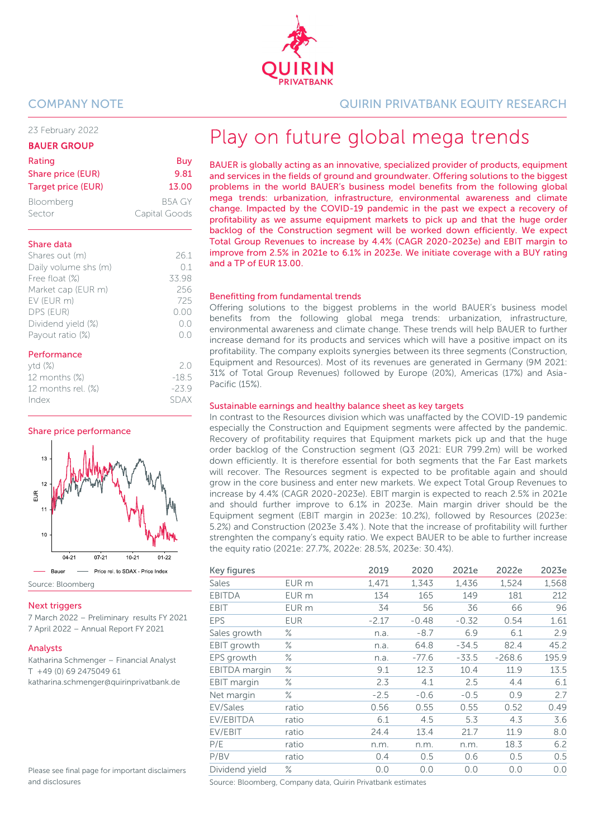23 February 2022

#### BAUER GROUP

| Rating                    | Buy           |
|---------------------------|---------------|
| Share price (EUR)         | 9.81          |
| <b>Target price (EUR)</b> | 13.00         |
| Bloomberg                 | B5A GY        |
| Sector                    | Capital Goods |

#### Share data

| Shares out (m)       | 261                |
|----------------------|--------------------|
| Daily volume shs (m) | 01                 |
| Free float (%)       | 33.98              |
| Market cap (EUR m)   | 256                |
| EV (EUR m)           | 725                |
| DPS (EUR)            | (0.00)             |
| Dividend yield (%)   | ()()               |
| Payout ratio (%)     | $( )_{\alpha} ( )$ |
| Doutovannon          |                    |

#### Performance

| ytd(%)             | 2 N     |
|--------------------|---------|
| 12 months (%)      | $-18.5$ |
| 12 months rel. (%) | $-23.9$ |
| Index              | SDAX    |

Share price performance



Source: Bloomberg

#### **Next triggers**

7 March 2022 – Preliminary results FY 2021 7 April 2022 – Annual Report FY 2021

#### Analysts

Katharina Schmenger – Financial Analyst T +49 (0) 69 2475049 61 katharina.schmenger@quirinprivatbank.de

Please see final page for important disclaimers and disclosures

COMPANY NOTE QUIRIN PRIVATBANK EQUITY RESEARCH

# Play on future global mega trends

BAUER is globally acting as an innovative, specialized provider of products, equipment and services in the fields of ground and groundwater. Offering solutions to the biggest problems in the world BAUER's business model benefits from the following global mega trends: urbanization, infrastructure, environmental awareness and climate change. Impacted by the COVID-19 pandemic in the past we expect a recovery of profitability as we assume equipment markets to pick up and that the huge order backlog of the Construction segment will be worked down efficiently. We expect Total Group Revenues to increase by 4.4% (CAGR 2020-2023e) and EBIT margin to improve from 2.5% in 2021e to 6.1% in 2023e. We initiate coverage with a BUY rating and a TP of EUR 13.00.

#### Benefitting from fundamental trends

Offering solutions to the biggest problems in the world BAUER's business model benefits from the following global mega trends: urbanization, infrastructure, environmental awareness and climate change. These trends will help BAUER to further increase demand for its products and services which will have a positive impact on its profitability. The company exploits synergies between its three segments (Construction, Equipment and Resources). Most of its revenues are generated in Germany (9M 2021: 31% of Total Group Revenues) followed by Europe (20%), Americas (17%) and Asia-Pacific (15%).

#### Sustainable earnings and healthy balance sheet as key targets

In contrast to the Resources division which was unaffacted by the COVID-19 pandemic especially the Construction and Equipment segments were affected by the pandemic. Recovery of profitability requires that Equipment markets pick up and that the huge order backlog of the Construction segment (Q3 2021: EUR 799.2m) will be worked down efficiently. It is therefore essential for both segments that the Far East markets will recover. The Resources segment is expected to be profitable again and should grow in the core business and enter new markets. We expect Total Group Revenues to increase by 4.4% (CAGR 2020-2023e). EBIT margin is expected to reach 2.5% in 2021e and should further improve to 6.1% in 2023e. Main margin driver should be the Equipment segment (EBIT margin in 2023e: 10.2%), followed by Resources (2023e: 5.2%) and Construction (2023e 3.4% ). Note that the increase of profitability will further strenghten the company's equity ratio. We expect BAUER to be able to further increase the equity ratio (2021e: 27.7%, 2022e: 28.5%, 2023e: 30.4%).

| Key figures          |            | 2019    | 2020    | 2021e   | 2022e    | 2023e |
|----------------------|------------|---------|---------|---------|----------|-------|
| <b>Sales</b>         | EUR m      | 1,471   | 1,343   | 1,436   | 1,524    | 1,568 |
| <b>EBITDA</b>        | EUR m      | 134     | 165     | 149     | 181      | 212   |
| EBIT                 | EUR m      | 34      | 56      | 36      | 66       | 96    |
| <b>EPS</b>           | <b>EUR</b> | $-2.17$ | $-0.48$ | $-0.32$ | 0.54     | 1.61  |
| Sales growth         | ℅          | n.a.    | $-8.7$  | 6.9     | 6.1      | 2.9   |
| EBIT growth          | ℅          | n.a.    | 64.8    | $-34.5$ | 82.4     | 45.2  |
| EPS growth           | ℅          | n.a.    | -77.6   | $-33.5$ | $-268.6$ | 195.9 |
| <b>EBITDA</b> margin | ℅          | 9.1     | 12.3    | 10.4    | 11.9     | 13.5  |
| EBIT margin          | ℅          | 2.3     | 4.1     | 2.5     | 4.4      | 6.1   |
| Net margin           | ℅          | $-2.5$  | $-0.6$  | $-0.5$  | 0.9      | 2.7   |
| EV/Sales             | ratio      | 0.56    | 0.55    | 0.55    | 0.52     | 0.49  |
| EV/EBITDA            | ratio      | 6.1     | 4.5     | 5.3     | 4.3      | 3.6   |
| EV/EBIT              | ratio      | 24.4    | 13.4    | 21.7    | 11.9     | 8.0   |
| P/E                  | ratio      | n.m.    | n.m.    | n.m.    | 18.3     | 6.2   |
| P/BV                 | ratio      | 0.4     | 0.5     | 0.6     | 0.5      | 0.5   |
| Dividend yield       | ℅          | 0.0     | 0.0     | 0.0     | 0.0      | 0.0   |

Source: Bloomberg, Company data, Quirin Privatbank estimates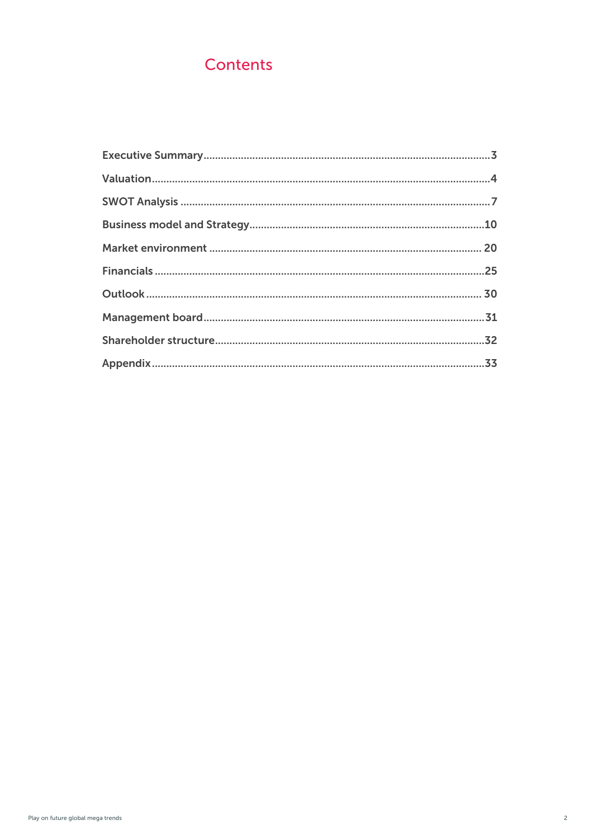## **Contents**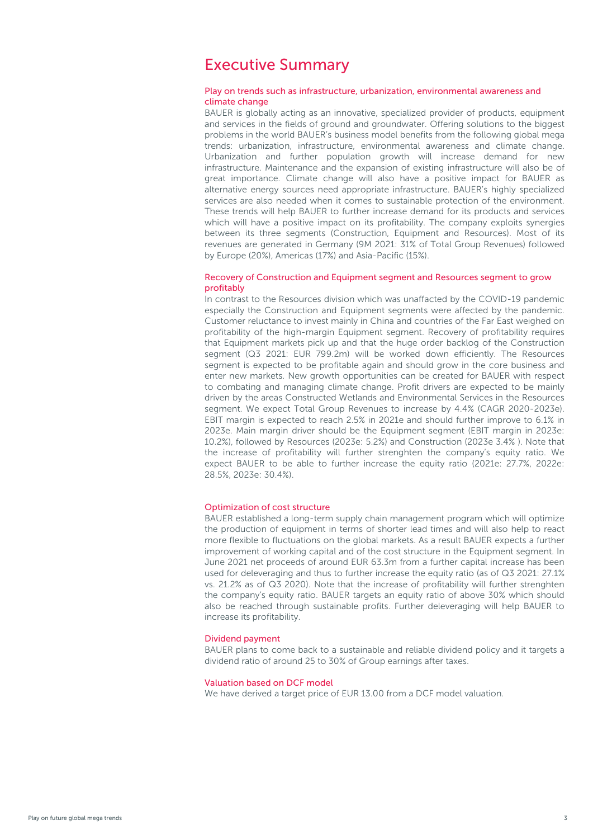## <span id="page-2-0"></span>Executive Summary

#### Play on trends such as infrastructure, urbanization, environmental awareness and climate change

BAUER is globally acting as an innovative, specialized provider of products, equipment and services in the fields of ground and groundwater. Offering solutions to the biggest problems in the world BAUER's business model benefits from the following global mega trends: urbanization, infrastructure, environmental awareness and climate change. Urbanization and further population growth will increase demand for new infrastructure. Maintenance and the expansion of existing infrastructure will also be of great importance. Climate change will also have a positive impact for BAUER as alternative energy sources need appropriate infrastructure. BAUER's highly specialized services are also needed when it comes to sustainable protection of the environment. These trends will help BAUER to further increase demand for its products and services which will have a positive impact on its profitability. The company exploits synergies between its three segments (Construction, Equipment and Resources). Most of its revenues are generated in Germany (9M 2021: 31% of Total Group Revenues) followed by Europe (20%), Americas (17%) and Asia-Pacific (15%).

#### Recovery of Construction and Equipment segment and Resources segment to grow profitably

In contrast to the Resources division which was unaffacted by the COVID-19 pandemic especially the Construction and Equipment segments were affected by the pandemic. Customer reluctance to invest mainly in China and countries of the Far East weighed on profitability of the high-margin Equipment segment. Recovery of profitability requires that Equipment markets pick up and that the huge order backlog of the Construction segment (Q3 2021: EUR 799.2m) will be worked down efficiently. The Resources segment is expected to be profitable again and should grow in the core business and enter new markets. New growth opportunities can be created for BAUER with respect to combating and managing climate change. Profit drivers are expected to be mainly driven by the areas Constructed Wetlands and Environmental Services in the Resources segment. We expect Total Group Revenues to increase by 4.4% (CAGR 2020-2023e). EBIT margin is expected to reach 2.5% in 2021e and should further improve to 6.1% in 2023e. Main margin driver should be the Equipment segment (EBIT margin in 2023e: 10.2%), followed by Resources (2023e: 5.2%) and Construction (2023e 3.4% ). Note that the increase of profitability will further strenghten the company's equity ratio. We expect BAUER to be able to further increase the equity ratio (2021e: 27.7%, 2022e: 28.5%, 2023e: 30.4%).

#### Optimization of cost structure

BAUER established a long-term supply chain management program which will optimize the production of equipment in terms of shorter lead times and will also help to react more flexible to fluctuations on the global markets. As a result BAUER expects a further improvement of working capital and of the cost structure in the Equipment segment. In June 2021 net proceeds of around EUR 63.3m from a further capital increase has been used for deleveraging and thus to further increase the equity ratio (as of Q3 2021: 27.1% vs. 21.2% as of Q3 2020). Note that the increase of profitability will further strenghten the company's equity ratio. BAUER targets an equity ratio of above 30% which should also be reached through sustainable profits. Further deleveraging will help BAUER to increase its profitability.

#### Dividend payment

BAUER plans to come back to a sustainable and reliable dividend policy and it targets a dividend ratio of around 25 to 30% of Group earnings after taxes.

#### Valuation based on DCF model

We have derived a target price of EUR 13.00 from a DCF model valuation.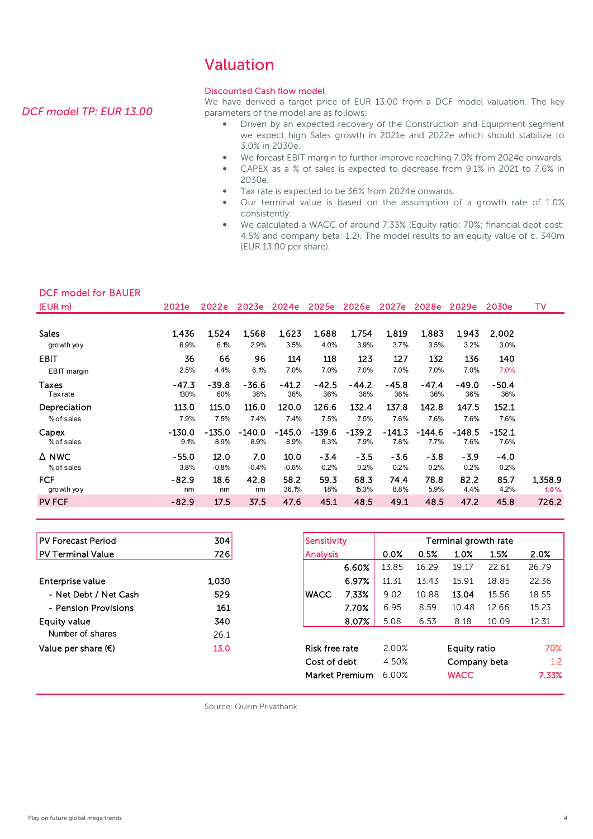## Valuation

#### Discounted Cash flow model

We have derived a target price of EUR 13.00 from a DCF model valuation. The key parameters of the model are as follows:

- Driven by an expected recovery of the Construction and Equipment segment we expect high Sales growth in 2021e and 2022e which should stabilize to 3.0% in 2030e.
- We foreast EBIT margin to further improve reaching 7.0% from 2024e onwards.
- CAPEX as a % of sales is expected to decrease from 9.1% in 2021 to 7.6% in 2030e.
- Tax rate is expected to be 36% from 2024e onwards.
- Our terminal value is based on the assumption of a growth rate of 1.0% consistently.
- We calculated a WACC of around 7.33% (Equity ratio: 70%; financial debt cost: 4.5% and company beta: 1.2). The model results to an equity value of c. 340m (EUR 13.00 per share).

| <b>DCF model for BAUER</b> |  |  |
|----------------------------|--|--|
|                            |  |  |

| (EUR m)         | 2021e    | 2022e    | 2023e    | 2024e    | 2025e    | 2026e   | 2027e   | 2028e   | 2029e    | 2030e    | TV      |
|-----------------|----------|----------|----------|----------|----------|---------|---------|---------|----------|----------|---------|
| <b>Sales</b>    | 1,436    | 1,524    | 1,568    | 1,623    | 1,688    | 1,754   | 1,819   | 1,883   | 1,943    | 2,002    |         |
| growth yoy      | 6.9%     | 6.1%     | 2.9%     | 3.5%     | 4.0%     | 3.9%    | 3.7%    | 3.5%    | 3.2%     | 3.0%     |         |
| <b>EBIT</b>     | 36       | 66       | 96       | 114      | 118      | 123     | 127     | 132     | 136      | 140      |         |
| EBIT margin     | 2.5%     | 4.4%     | 6.1%     | 7.0%     | 7.0%     | 7.0%    | 7.0%    | 7.0%    | 7.0%     | 7.0%     |         |
| Taxes           | $-47.3$  | $-39.8$  | $-36.6$  | $-41.2$  | $-42.5$  | $-44.2$ | $-45.8$ | $-47.4$ | $-49.0$  | $-50.4$  |         |
| <b>Tax</b> rate | 130%     | 60%      | 38%      | 36%      | 36%      | 36%     | 36%     | 36%     | 36%      | 36%      |         |
| Depreciation    | 113.0    | 115.0    | 116.0    | 120.0    | 126.6    | 132.4   | 137.8   | 142.8   | 147.5    | 152.1    |         |
| % of sales      | 7.9%     | 7.5%     | 7.4%     | 7.4%     | 7.5%     | 7.5%    | 7.6%    | 7.6%    | 7.6%     | 7.6%     |         |
| Capex           | $-130.0$ | $-135.0$ | $-140.0$ | $-145.0$ | $-139.6$ | -139.2  | -141.3  | -144.6  | $-148.5$ | $-152.1$ |         |
| % of sales      | 9.1%     | 8.9%     | 8.9%     | 8.9%     | 8.3%     | 7.9%    | 7.8%    | 7.7%    | 7.6%     | 7.6%     |         |
| Δ NWC           | $-55.0$  | 12.0     | 7.0      | 10.0     | $-3.4$   | $-3.5$  | $-3.6$  | $-3.8$  | $-3.9$   | $-4.0$   |         |
| % of sales      | 3.8%     | $-0.8%$  | $-0.4%$  | $-0.6%$  | 0.2%     | 0.2%    | 0.2%    | 0.2%    | 0.2%     | 0.2%     |         |
| <b>FCF</b>      | $-82.9$  | 18.6     | 42.8     | 58.2     | 59.3     | 68.3    | 74.4    | 78.8    | 82.2     | 85.7     | 1,358.9 |
| growth yoy      | nm       | nm       | nm       | 36.1%    | 1.8%     | 15.3%   | 8.8%    | 5.9%    | 4.4%     | 4.2%     | 1.0%    |
| <b>PV FCF</b>   | $-82.9$  | 17.5     | 37.5     | 47.6     | 45.1     | 48.5    | 49.1    | 48.5    | 47.2     | 45.8     | 726.2   |

| <b>IPV Forecast Period</b>   | 304   | Sensitivity     |                |       | Terminal growth rate |              |       |       |
|------------------------------|-------|-----------------|----------------|-------|----------------------|--------------|-------|-------|
| <b>PV Terminal Value</b>     | 726   | <b>Analysis</b> |                | 0.0%  | 0.5%                 | 1.0%         | 1.5%  | 2.0%  |
|                              |       |                 | 6.60%          | 13.85 | 16.29                | 19.17        | 22.61 | 26.79 |
| Enterprise value             | 1,030 |                 | 6.97%          | 11.31 | 13.43                | 15.91        | 18.85 | 22.36 |
| - Net Debt / Net Cash        | 529   | <b>WACC</b>     | 7.33%          | 9.02  | 10.88                | 13.04        | 15.56 | 18.55 |
| - Pension Provisions         | 161   |                 | 7.70%          | 6.95  | 8.59                 | 10.48        | 12.66 | 15.23 |
| Equity value                 | 340   |                 | 8.07%          | 5.08  | 6.53                 | 8.18         | 10.09 | 12.31 |
| Number of shares             | 26.1  |                 |                |       |                      |              |       |       |
| Value per share $(\epsilon)$ | 13.0  | Risk free rate  |                | 2.00% |                      | Equity ratio | 70%   |       |
|                              |       |                 | Cost of debt   |       |                      | Company beta |       | 1.2   |
|                              |       |                 | Market Premium | 6.00% |                      | <b>WACC</b>  |       | 7.33% |

Source: Quirin Privatbank

#### <span id="page-3-0"></span>*DCF model TP: EUR 13.00*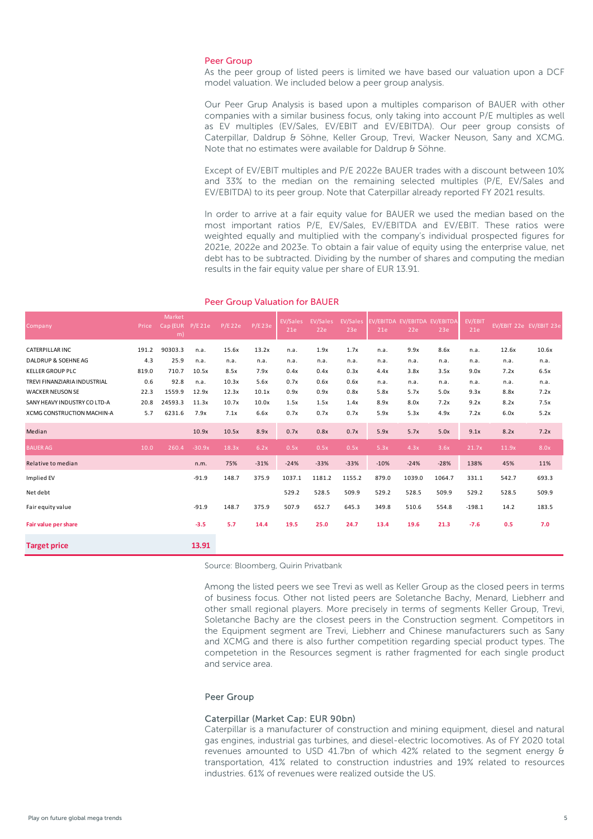#### Peer Group

As the peer group of listed peers is limited we have based our valuation upon a DCF model valuation. We included below a peer group analysis.

Our Peer Grup Analysis is based upon a multiples comparison of BAUER with other companies with a similar business focus, only taking into account P/E multiples as well as EV multiples (EV/Sales, EV/EBIT and EV/EBITDA). Our peer group consists of Caterpillar, Daldrup & Söhne, Keller Group, Trevi, Wacker Neuson, Sany and XCMG. Note that no estimates were available for Daldrup & Söhne.

Except of EV/EBIT multiples and P/E 2022e BAUER trades with a discount between 10% and 33% to the median on the remaining selected multiples (P/E, EV/Sales and EV/EBITDA) to its peer group. Note that Caterpillar already reported FY 2021 results.

In order to arrive at a fair equity value for BAUER we used the median based on the most important ratios P/E, EV/Sales, EV/EBITDA and EV/EBIT. These ratios were weighted equally and multiplied with the company's individual prospected figures for 2021e, 2022e and 2023e. To obtain a fair value of equity using the enterprise value, net debt has to be subtracted. Dividing by the number of shares and computing the median results in the fair equity value per share of EUR 13.91.

| Company                      | Price | Market<br>Cap (EUR<br>m) | P/E21e   | P/E22e | P/E23e | <b>EV/Sales</b><br>21e | EV/Sales<br>22e | EV/Sales<br>23e | <b>EV/EBITDA</b><br>21e | EV/EBITDA EV/EBITDA<br>22e | 23e    | EV/EBIT<br>21e |       | EV/EBIT 22e EV/EBIT 23e |
|------------------------------|-------|--------------------------|----------|--------|--------|------------------------|-----------------|-----------------|-------------------------|----------------------------|--------|----------------|-------|-------------------------|
| CATERPILLAR INC              | 191.2 | 90303.3                  | n.a.     | 15.6x  | 13.2x  | n.a.                   | 1.9x            | 1.7x            | n.a.                    | 9.9x                       | 8.6x   | n.a.           | 12.6x | 10.6x                   |
| DALDRUP & SOEHNE AG          | 4.3   | 25.9                     | n.a.     | n.a.   | n.a.   | n.a.                   | n.a.            | n.a.            | n.a.                    | n.a.                       | n.a.   | n.a.           | n.a.  | n.a.                    |
| <b>KELLER GROUP PLC</b>      | 819.0 | 710.7                    | 10.5x    | 8.5x   | 7.9x   | 0.4x                   | 0.4x            | 0.3x            | 4.4x                    | 3.8x                       | 3.5x   | 9.0x           | 7.2x  | 6.5x                    |
| TREVI FINANZIARIA INDUSTRIAL | 0.6   | 92.8                     | n.a.     | 10.3x  | 5.6x   | 0.7x                   | 0.6x            | 0.6x            | n.a.                    | n.a.                       | n.a.   | n.a.           | n.a.  | n.a.                    |
| <b>WACKER NEUSON SE</b>      | 22.3  | 1559.9                   | 12.9x    | 12.3x  | 10.1x  | 0.9x                   | 0.9x            | 0.8x            | 5.8x                    | 5.7x                       | 5.0x   | 9.3x           | 8.8x  | 7.2x                    |
| SANY HEAVY INDUSTRY CO LTD-A | 20.8  | 24593.3                  | 11.3x    | 10.7x  | 10.0x  | 1.5x                   | 1.5x            | 1.4x            | 8.9x                    | 8.0x                       | 7.2x   | 9.2x           | 8.2x  | 7.5x                    |
| XCMG CONSTRUCTION MACHIN-A   | 5.7   | 6231.6                   | 7.9x     | 7.1x   | 6.6x   | 0.7x                   | 0.7x            | 0.7x            | 5.9x                    | 5.3x                       | 4.9x   | 7.2x           | 6.0x  | 5.2x                    |
| Median                       |       |                          | 10.9x    | 10.5x  | 8.9x   | 0.7x                   | 0.8x            | 0.7x            | 5.9x                    | 5.7x                       | 5.0x   | 9.1x           | 8.2x  | 7.2x                    |
| <b>BAUER AG</b>              | 10.0  | 260.4                    | $-30.9x$ | 18.3x  | 6.2x   | 0.5x                   | 0.5x            | 0.5x            | 5.3x                    | 4.3x                       | 3.6x   | 21.7x          | 11.9x | 8.0x                    |
| Relative to median           |       |                          | n.m.     | 75%    | $-31%$ | $-24%$                 | $-33%$          | $-33%$          | $-10%$                  | $-24%$                     | $-28%$ | 138%           | 45%   | 11%                     |
| Implied EV                   |       |                          | $-91.9$  | 148.7  | 375.9  | 1037.1                 | 1181.2          | 1155.2          | 879.0                   | 1039.0                     | 1064.7 | 331.1          | 542.7 | 693.3                   |
| Net debt                     |       |                          |          |        |        | 529.2                  | 528.5           | 509.9           | 529.2                   | 528.5                      | 509.9  | 529.2          | 528.5 | 509.9                   |
| Fair equity value            |       |                          | $-91.9$  | 148.7  | 375.9  | 507.9                  | 652.7           | 645.3           | 349.8                   | 510.6                      | 554.8  | $-198.1$       | 14.2  | 183.5                   |
| Fair value per share         |       |                          | $-3.5$   | 5.7    | 14.4   | 19.5                   | 25.0            | 24.7            | 13.4                    | 19.6                       | 21.3   | $-7.6$         | 0.5   | 7.0                     |
| <b>Target price</b>          |       |                          | 13.91    |        |        |                        |                 |                 |                         |                            |        |                |       |                         |

#### Peer Group Valuation for BAUER

Source: Bloomberg, Quirin Privatbank

Among the listed peers we see Trevi as well as Keller Group as the closed peers in terms of business focus. Other not listed peers are Soletanche Bachy, Menard, Liebherr and other small regional players. More precisely in terms of segments Keller Group, Trevi, Soletanche Bachy are the closest peers in the Construction segment. Competitors in the Equipment segment are Trevi, Liebherr and Chinese manufacturers such as Sany and XCMG and there is also further competition regarding special product types. The competetion in the Resources segment is rather fragmented for each single product and service area.

#### Peer Group

#### Caterpillar (Market Cap: EUR 90bn)

Caterpillar is a manufacturer of construction and mining equipment, diesel and natural gas engines, industrial gas turbines, and diesel-electric locomotives. As of FY 2020 total revenues amounted to USD 41.7bn of which 42% related to the segment energy & transportation, 41% related to construction industries and 19% related to resources industries. 61% of revenues were realized outside the US.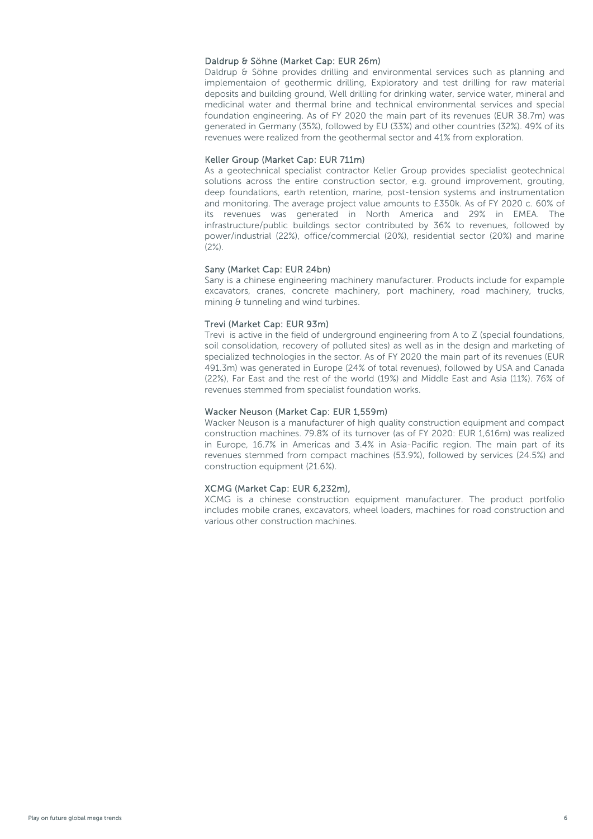#### Daldrup & Söhne (Market Cap: EUR 26m)

Daldrup & Söhne provides drilling and environmental services such as planning and implementaion of geothermic drilling, Exploratory and test drilling for raw material deposits and building ground, Well drilling for drinking water, service water, mineral and medicinal water and thermal brine and technical environmental services and special foundation engineering. As of FY 2020 the main part of its revenues (EUR 38.7m) was generated in Germany (35%), followed by EU (33%) and other countries (32%). 49% of its revenues were realized from the geothermal sector and 41% from exploration.

#### Keller Group (Market Cap: EUR 711m)

As a geotechnical specialist contractor Keller Group provides specialist geotechnical solutions across the entire construction sector, e.g. ground improvement, grouting, deep foundations, earth retention, marine, post-tension systems and instrumentation and monitoring. The average project value amounts to £350k. As of FY 2020 c. 60% of its revenues was generated in North America and 29% in EMEA. The infrastructure/public buildings sector contributed by 36% to revenues, followed by power/industrial (22%), office/commercial (20%), residential sector (20%) and marine  $(2\%)$ .

#### Sany (Market Cap: EUR 24bn)

Sany is a chinese engineering machinery manufacturer. Products include for expample excavators, cranes, concrete machinery, port machinery, road machinery, trucks, mining & tunneling and wind turbines.

#### Trevi (Market Cap: EUR 93m)

Trevi is active in the field of underground engineering from A to Z (special foundations, soil consolidation, recovery of polluted sites) as well as in the design and marketing of specialized technologies in the sector. As of FY 2020 the main part of its revenues (EUR 491.3m) was generated in Europe (24% of total revenues), followed by USA and Canada (22%), Far East and the rest of the world (19%) and Middle East and Asia (11%). 76% of revenues stemmed from specialist foundation works.

#### Wacker Neuson (Market Cap: EUR 1,559m)

Wacker Neuson is a manufacturer of high quality construction equipment and compact construction machines. 79.8% of its turnover (as of FY 2020: EUR 1,616m) was realized in Europe, 16.7% in Americas and 3.4% in Asia-Pacific region. The main part of its revenues stemmed from compact machines (53.9%), followed by services (24.5%) and construction equipment (21.6%).

#### XCMG (Market Cap: EUR 6,232m),

XCMG is a chinese construction equipment manufacturer. The product portfolio includes mobile cranes, excavators, wheel loaders, machines for road construction and various other construction machines.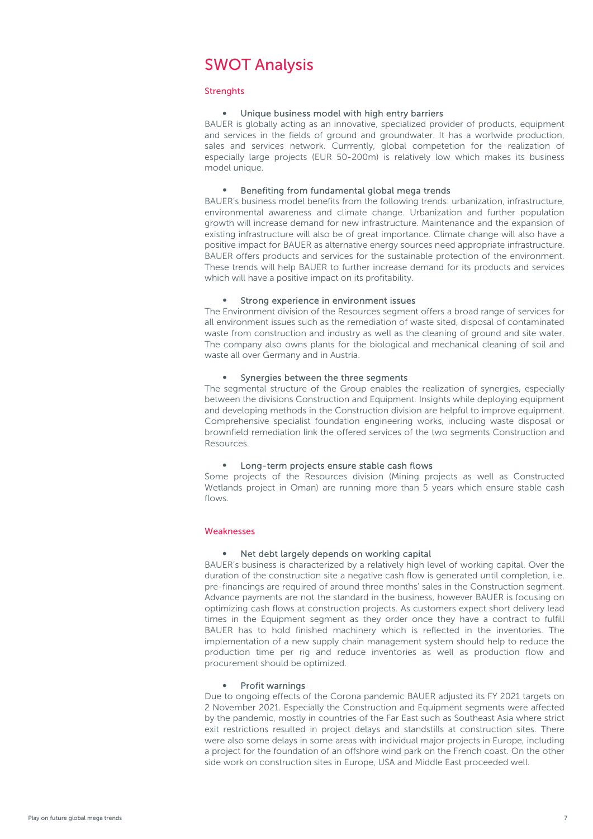## <span id="page-6-0"></span>SWOT Analysis

#### **Strenghts**

#### Unique business model with high entry barriers

BAUER is globally acting as an innovative, specialized provider of products, equipment and services in the fields of ground and groundwater. It has a worlwide production, sales and services network. Currrently, global competetion for the realization of especially large projects (EUR 50-200m) is relatively low which makes its business model unique.

#### • Benefiting from fundamental global mega trends

BAUER's business model benefits from the following trends: urbanization, infrastructure, environmental awareness and climate change. Urbanization and further population growth will increase demand for new infrastructure. Maintenance and the expansion of existing infrastructure will also be of great importance. Climate change will also have a positive impact for BAUER as alternative energy sources need appropriate infrastructure. BAUER offers products and services for the sustainable protection of the environment. These trends will help BAUER to further increase demand for its products and services which will have a positive impact on its profitability.

#### • Strong experience in environment issues

The Environment division of the Resources segment offers a broad range of services for all environment issues such as the remediation of waste sited, disposal of contaminated waste from construction and industry as well as the cleaning of ground and site water. The company also owns plants for the biological and mechanical cleaning of soil and waste all over Germany and in Austria.

#### Synergies between the three segments

The segmental structure of the Group enables the realization of synergies, especially between the divisions Construction and Equipment. Insights while deploying equipment and developing methods in the Construction division are helpful to improve equipment. Comprehensive specialist foundation engineering works, including waste disposal or brownfield remediation link the offered services of the two segments Construction and Resources.

#### • Long-term projects ensure stable cash flows

Some projects of the Resources division (Mining projects as well as Constructed Wetlands project in Oman) are running more than 5 years which ensure stable cash flows.

#### **Weaknesses**

#### • Net debt largely depends on working capital

BAUER's business is characterized by a relatively high level of working capital. Over the duration of the construction site a negative cash flow is generated until completion, i.e. pre-financings are required of around three months' sales in the Construction segment. Advance payments are not the standard in the business, however BAUER is focusing on optimizing cash flows at construction projects. As customers expect short delivery lead times in the Equipment segment as they order once they have a contract to fulfill BAUER has to hold finished machinery which is reflected in the inventories. The implementation of a new supply chain management system should help to reduce the production time per rig and reduce inventories as well as production flow and procurement should be optimized.

#### Profit warnings

Due to ongoing effects of the Corona pandemic BAUER adjusted its FY 2021 targets on 2 November 2021. Especially the Construction and Equipment segments were affected by the pandemic, mostly in countries of the Far East such as Southeast Asia where strict exit restrictions resulted in project delays and standstills at construction sites. There were also some delays in some areas with individual major projects in Europe, including a project for the foundation of an offshore wind park on the French coast. On the other side work on construction sites in Europe, USA and Middle East proceeded well.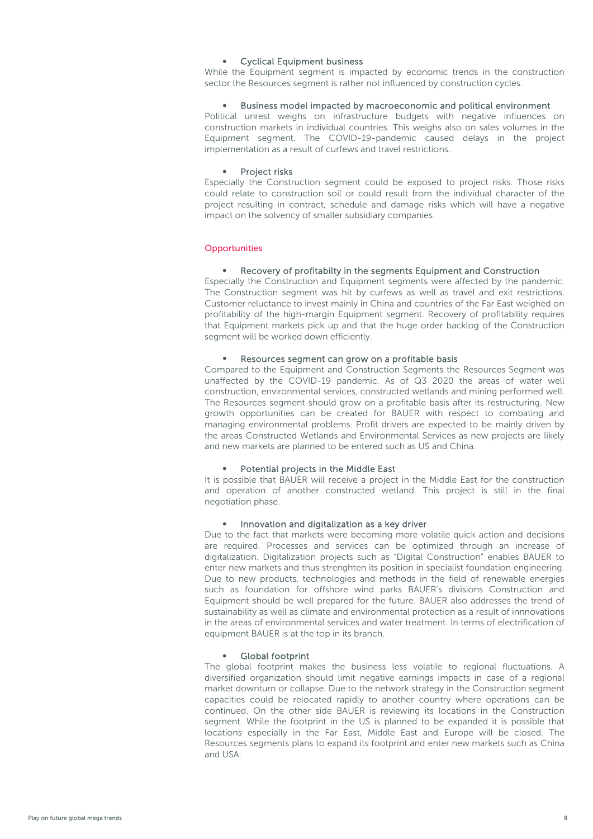#### • Cyclical Equipment business

While the Equipment segment is impacted by economic trends in the construction sector the Resources segment is rather not influenced by construction cycles.

#### • Business model impacted by macroeconomic and political environment

Political unrest weighs on infrastructure budgets with negative influences on construction markets in individual countries. This weighs also on sales volumes in the Equipment segment. The COVID-19-pandemic caused delays in the project implementation as a result of curfews and travel restrictions.

#### Project risks

Especially the Construction segment could be exposed to project risks. Those risks could relate to construction soil or could result from the individual character of the project resulting in contract, schedule and damage risks which will have a negative impact on the solvency of smaller subsidiary companies.

#### **Opportunities**

#### • Recovery of profitabilty in the segments Equipment and Construction

Especially the Construction and Equipment segments were affected by the pandemic. The Construction segment was hit by curfews as well as travel and exit restrictions. Customer reluctance to invest mainly in China and countries of the Far East weighed on profitability of the high-margin Equipment segment. Recovery of profitability requires that Equipment markets pick up and that the huge order backlog of the Construction segment will be worked down efficiently.

#### Resources segment can grow on a profitable basis

Compared to the Equipment and Construction Segments the Resources Segment was unaffected by the COVID-19 pandemic. As of Q3 2020 the areas of water well construction, environmental services, constructed wetlands and mining performed well. The Resources segment should grow on a profitable basis after its restructuring. New growth opportunities can be created for BAUER with respect to combating and managing environmental problems. Profit drivers are expected to be mainly driven by the areas Constructed Wetlands and Environmental Services as new projects are likely and new markets are planned to be entered such as US and China.

#### • Potential projects in the Middle East

It is possible that BAUER will receive a project in the Middle East for the construction and operation of another constructed wetland. This project is still in the final negotiation phase.

#### • Innovation and digitalization as a key driver

Due to the fact that markets were becoming more volatile quick action and decisions are required. Processes and services can be optimized through an increase of digitalization. Digitalization projects such as "Digital Construction" enables BAUER to enter new markets and thus strenghten its position in specialist foundation engineering. Due to new products, technologies and methods in the field of renewable energies such as foundation for offshore wind parks BAUER's divisions Construction and Equipment should be well prepared for the future. BAUER also addresses the trend of sustainability as well as climate and environmental protection as a result of innnovations in the areas of environmental services and water treatment. In terms of electrification of equipment BAUER is at the top in its branch.

#### • Global footprint

The global footprint makes the business less volatile to regional fluctuations. A diversified organization should limit negative earnings impacts in case of a regional market downturn or collapse. Due to the network strategy in the Construction segment capacities could be relocated rapidly to another country where operations can be continued. On the other side BAUER is reviewing its locations in the Construction segment. While the footprint in the US is planned to be expanded it is possible that locations especially in the Far East, Middle East and Europe will be closed. The Resources segments plans to expand its footprint and enter new markets such as China and USA.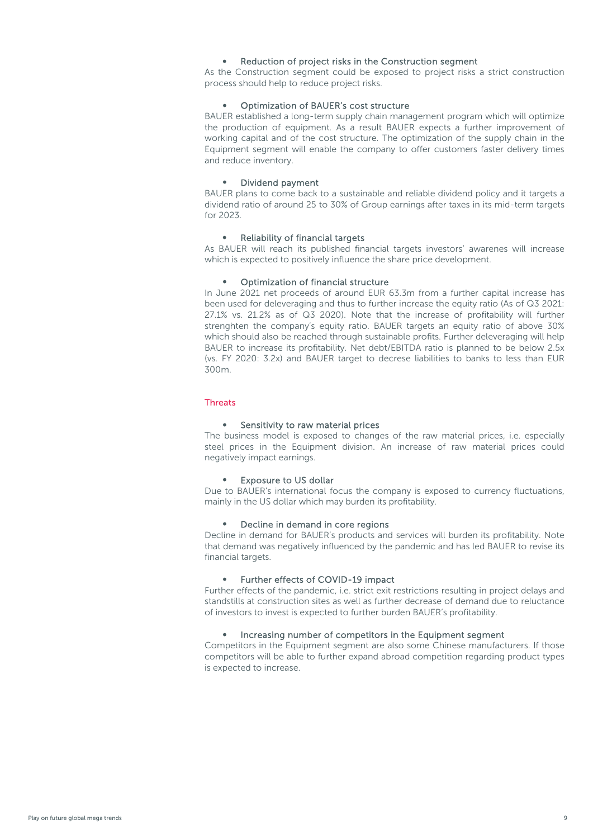#### Reduction of project risks in the Construction segment

As the Construction segment could be exposed to project risks a strict construction process should help to reduce project risks.

#### • Optimization of BAUER's cost structure

BAUER established a long-term supply chain management program which will optimize the production of equipment. As a result BAUER expects a further improvement of working capital and of the cost structure. The optimization of the supply chain in the Equipment segment will enable the company to offer customers faster delivery times and reduce inventory.

#### • Dividend payment

BAUER plans to come back to a sustainable and reliable dividend policy and it targets a dividend ratio of around 25 to 30% of Group earnings after taxes in its mid-term targets for 2023.

#### • Reliability of financial targets

As BAUER will reach its published financial targets investors' awarenes will increase which is expected to positively influence the share price development.

#### • Optimization of financial structure

In June 2021 net proceeds of around EUR 63.3m from a further capital increase has been used for deleveraging and thus to further increase the equity ratio (As of Q3 2021: 27.1% vs. 21.2% as of Q3 2020). Note that the increase of profitability will further strenghten the company's equity ratio. BAUER targets an equity ratio of above 30% which should also be reached through sustainable profits. Further deleveraging will help BAUER to increase its profitability. Net debt/EBITDA ratio is planned to be below 2.5x (vs. FY 2020: 3.2x) and BAUER target to decrese liabilities to banks to less than EUR 300m.

#### **Threats**

#### Sensitivity to raw material prices

The business model is exposed to changes of the raw material prices, i.e. especially steel prices in the Equipment division. An increase of raw material prices could negatively impact earnings.

#### • Exposure to US dollar

Due to BAUER's international focus the company is exposed to currency fluctuations, mainly in the US dollar which may burden its profitability.

#### • Decline in demand in core regions

Decline in demand for BAUER's products and services will burden its profitability. Note that demand was negatively influenced by the pandemic and has led BAUER to revise its financial targets.

#### • Further effects of COVID-19 impact

Further effects of the pandemic, i.e. strict exit restrictions resulting in project delays and standstills at construction sites as well as further decrease of demand due to reluctance of investors to invest is expected to further burden BAUER's profitability.

#### • Increasing number of competitors in the Equipment segment

Competitors in the Equipment segment are also some Chinese manufacturers. If those competitors will be able to further expand abroad competition regarding product types is expected to increase.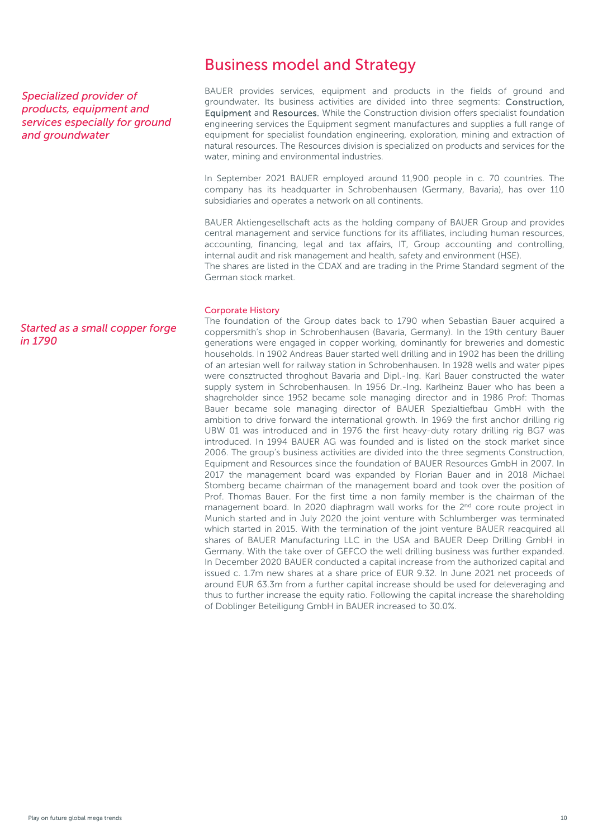#### <span id="page-9-0"></span>*Specialized provider of products, equipment and services especially for ground and groundwater*

#### *Started as a small copper forge in 1790*

## Business model and Strategy

BAUER provides services, equipment and products in the fields of ground and groundwater. Its business activities are divided into three segments: Construction, Equipment and Resources. While the Construction division offers specialist foundation engineering services the Equipment segment manufactures and supplies a full range of equipment for specialist foundation engineering, exploration, mining and extraction of natural resources. The Resources division is specialized on products and services for the water, mining and environmental industries.

In September 2021 BAUER employed around 11,900 people in c. 70 countries. The company has its headquarter in Schrobenhausen (Germany, Bavaria), has over 110 subsidiaries and operates a network on all continents.

BAUER Aktiengesellschaft acts as the holding company of BAUER Group and provides central management and service functions for its affiliates, including human resources, accounting, financing, legal and tax affairs, IT, Group accounting and controlling, internal audit and risk management and health, safety and environment (HSE).

The shares are listed in the CDAX and are trading in the Prime Standard segment of the German stock market.

#### Corporate History

The foundation of the Group dates back to 1790 when Sebastian Bauer acquired a coppersmith's shop in Schrobenhausen (Bavaria, Germany). In the 19th century Bauer generations were engaged in copper working, dominantly for breweries and domestic households. In 1902 Andreas Bauer started well drilling and in 1902 has been the drilling of an artesian well for railway station in Schrobenhausen. In 1928 wells and water pipes were consztructed throghout Bavaria and Dipl.-Ing. Karl Bauer constructed the water supply system in Schrobenhausen. In 1956 Dr.-Ing. Karlheinz Bauer who has been a shagreholder since 1952 became sole managing director and in 1986 Prof: Thomas Bauer became sole managing director of BAUER Spezialtiefbau GmbH with the ambition to drive forward the international growth. In 1969 the first anchor drilling rig UBW 01 was introduced and in 1976 the first heavy-duty rotary drilling rig BG7 was introduced. In 1994 BAUER AG was founded and is listed on the stock market since 2006. The group's business activities are divided into the three segments Construction, Equipment and Resources since the foundation of BAUER Resources GmbH in 2007. In 2017 the management board was expanded by Florian Bauer and in 2018 Michael Stomberg became chairman of the management board and took over the position of Prof. Thomas Bauer. For the first time a non family member is the chairman of the management board. In 2020 diaphragm wall works for the 2<sup>nd</sup> core route project in Munich started and in July 2020 the joint venture with Schlumberger was terminated which started in 2015. With the termination of the joint venture BAUER reacquired all shares of BAUER Manufacturing LLC in the USA and BAUER Deep Drilling GmbH in Germany. With the take over of GEFCO the well drilling business was further expanded. In December 2020 BAUER conducted a capital increase from the authorized capital and issued c. 1.7m new shares at a share price of EUR 9.32. In June 2021 net proceeds of around EUR 63.3m from a further capital increase should be used for deleveraging and thus to further increase the equity ratio. Following the capital increase the shareholding of Doblinger Beteiligung GmbH in BAUER increased to 30.0%.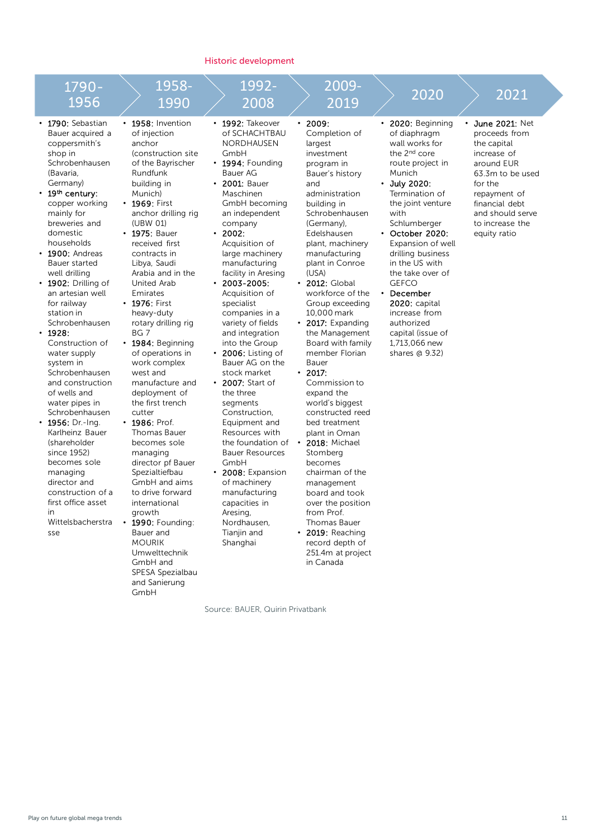#### Historic development



Source: BAUER, Quirin Privatbank

251.4m at project in Canada

Umwelttechnik GmbH and SPESA Spezialbau and Sanierung GmbH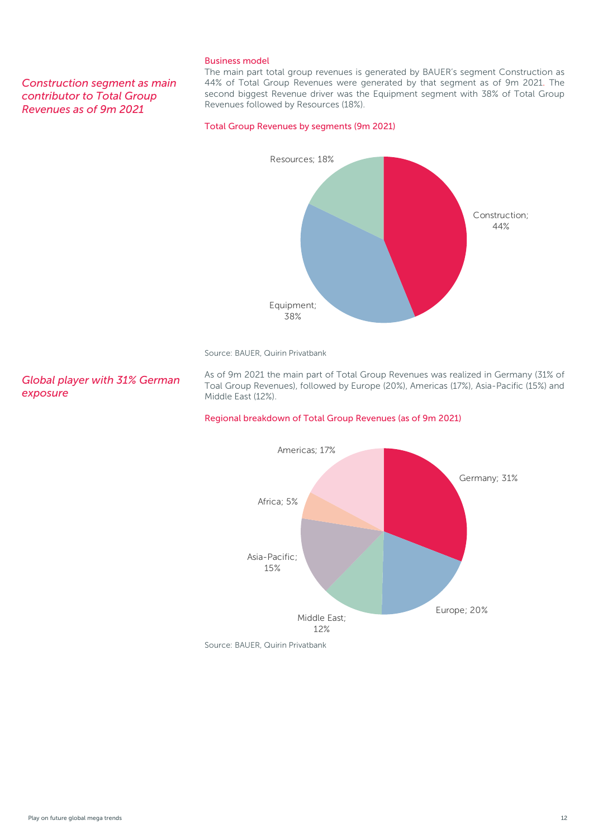#### *Construction segment as main contributor to Total Group Revenues as of 9m 2021*

#### Business model

The main part total group revenues is generated by BAUER's segment Construction as 44% of Total Group Revenues were generated by that segment as of 9m 2021. The second biggest Revenue driver was the Equipment segment with 38% of Total Group Revenues followed by Resources (18%).

#### Total Group Revenues by segments (9m 2021)



Source: BAUER, Quirin Privatbank

*Global player with 31% German exposure*

As of 9m 2021 the main part of Total Group Revenues was realized in Germany (31% of Toal Group Revenues), followed by Europe (20%), Americas (17%), Asia-Pacific (15%) and Middle East (12%).

#### Regional breakdown of Total Group Revenues (as of 9m 2021)

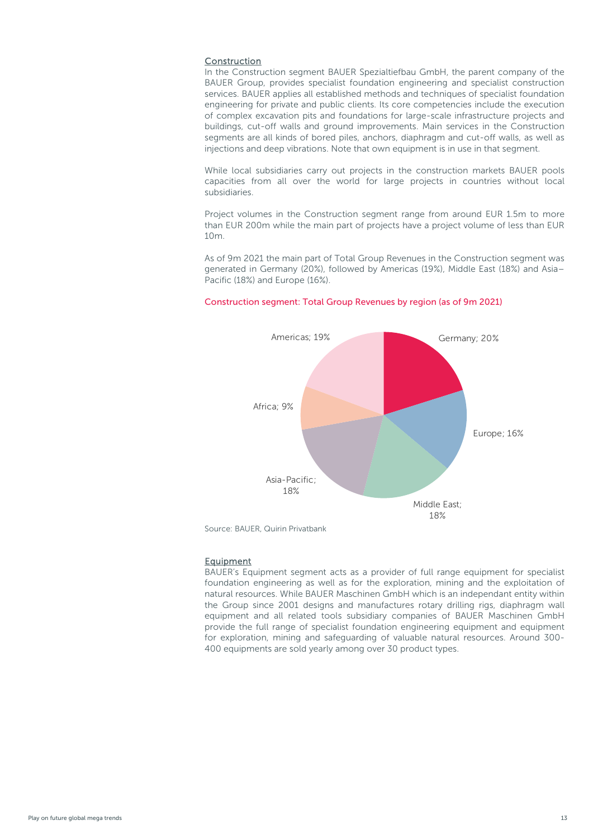#### **Construction**

In the Construction segment BAUER Spezialtiefbau GmbH, the parent company of the BAUER Group, provides specialist foundation engineering and specialist construction services. BAUER applies all established methods and techniques of specialist foundation engineering for private and public clients. Its core competencies include the execution of complex excavation pits and foundations for large-scale infrastructure projects and buildings, cut-off walls and ground improvements. Main services in the Construction segments are all kinds of bored piles, anchors, diaphragm and cut-off walls, as well as injections and deep vibrations. Note that own equipment is in use in that segment.

While local subsidiaries carry out projects in the construction markets BAUER pools capacities from all over the world for large projects in countries without local subsidiaries.

Project volumes in the Construction segment range from around EUR 1.5m to more than EUR 200m while the main part of projects have a project volume of less than EUR 10m.

As of 9m 2021 the main part of Total Group Revenues in the Construction segment was generated in Germany (20%), followed by Americas (19%), Middle East (18%) and Asia– Pacific (18%) and Europe (16%).

# Germany; 20% Europe; 16% Middle East; 18% Asia-Pacific; 18% Africa; 9% Americas; 19%

#### Construction segment: Total Group Revenues by region (as of 9m 2021)

Source: BAUER, Quirin Privatbank

#### **Equipment**

BAUER's Equipment segment acts as a provider of full range equipment for specialist foundation engineering as well as for the exploration, mining and the exploitation of natural resources. While BAUER Maschinen GmbH which is an independant entity within the Group since 2001 designs and manufactures rotary drilling rigs, diaphragm wall equipment and all related tools subsidiary companies of BAUER Maschinen GmbH provide the full range of specialist foundation engineering equipment and equipment for exploration, mining and safeguarding of valuable natural resources. Around 300- 400 equipments are sold yearly among over 30 product types.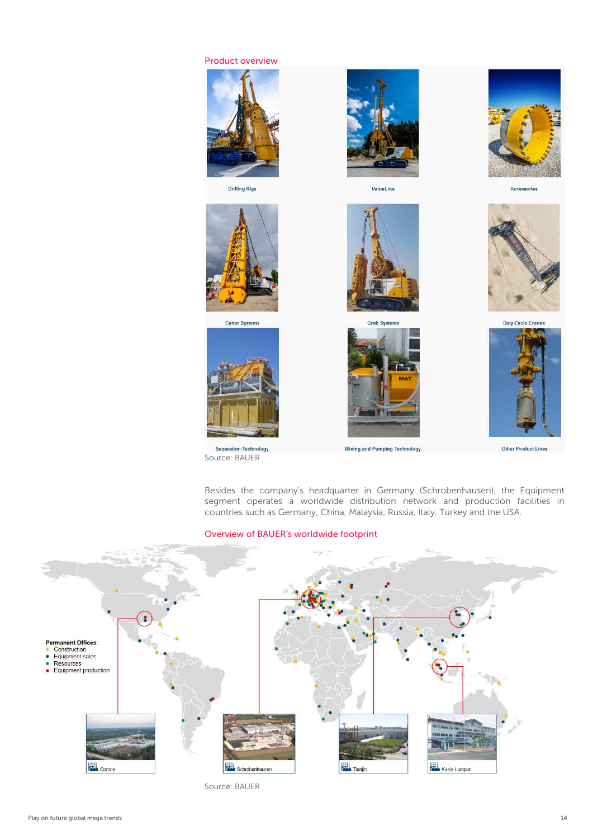

Source: BAUER

Product overview

Besides the company's headquarter in Germany (Schrobenhausen), the Equipment segment operates a worldwide distribution network and production facilities in countries such as Germany, China, Malaysia, Russia, Italy, Turkey and the USA.

#### Overview of BAUER's worldwide footprint



Source: BAUER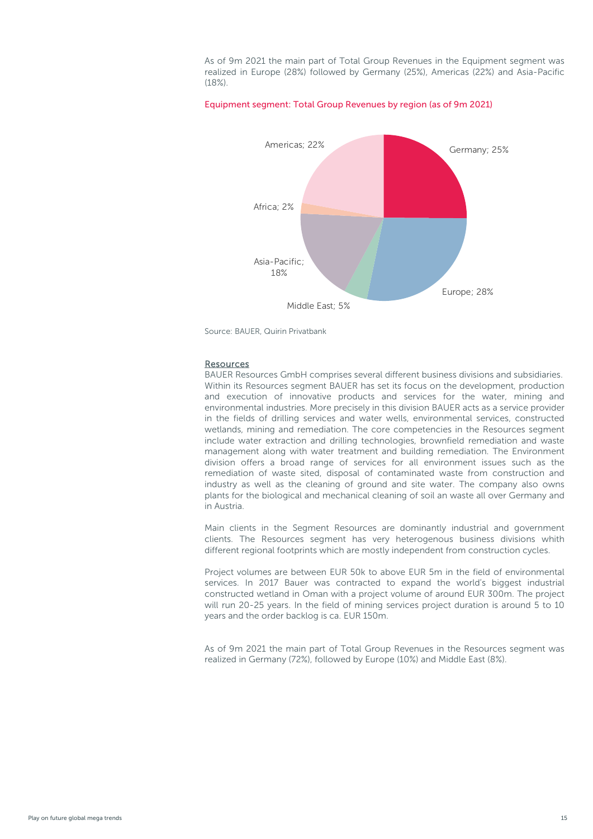As of 9m 2021 the main part of Total Group Revenues in the Equipment segment was realized in Europe (28%) followed by Germany (25%), Americas (22%) and Asia-Pacific (18%).

#### Equipment segment: Total Group Revenues by region (as of 9m 2021)



Source: BAUER, Quirin Privatbank

#### Resources

BAUER Resources GmbH comprises several different business divisions and subsidiaries. Within its Resources segment BAUER has set its focus on the development, production and execution of innovative products and services for the water, mining and environmental industries. More precisely in this division BAUER acts as a service provider in the fields of drilling services and water wells, environmental services, constructed wetlands, mining and remediation. The core competencies in the Resources segment include water extraction and drilling technologies, brownfield remediation and waste management along with water treatment and building remediation. The Environment division offers a broad range of services for all environment issues such as the remediation of waste sited, disposal of contaminated waste from construction and industry as well as the cleaning of ground and site water. The company also owns plants for the biological and mechanical cleaning of soil an waste all over Germany and in Austria.

Main clients in the Segment Resources are dominantly industrial and government clients. The Resources segment has very heterogenous business divisions whith different regional footprints which are mostly independent from construction cycles.

Project volumes are between EUR 50k to above EUR 5m in the field of environmental services. In 2017 Bauer was contracted to expand the world's biggest industrial constructed wetland in Oman with a project volume of around EUR 300m. The project will run 20-25 years. In the field of mining services project duration is around 5 to 10 years and the order backlog is ca. EUR 150m.

As of 9m 2021 the main part of Total Group Revenues in the Resources segment was realized in Germany (72%), followed by Europe (10%) and Middle East (8%).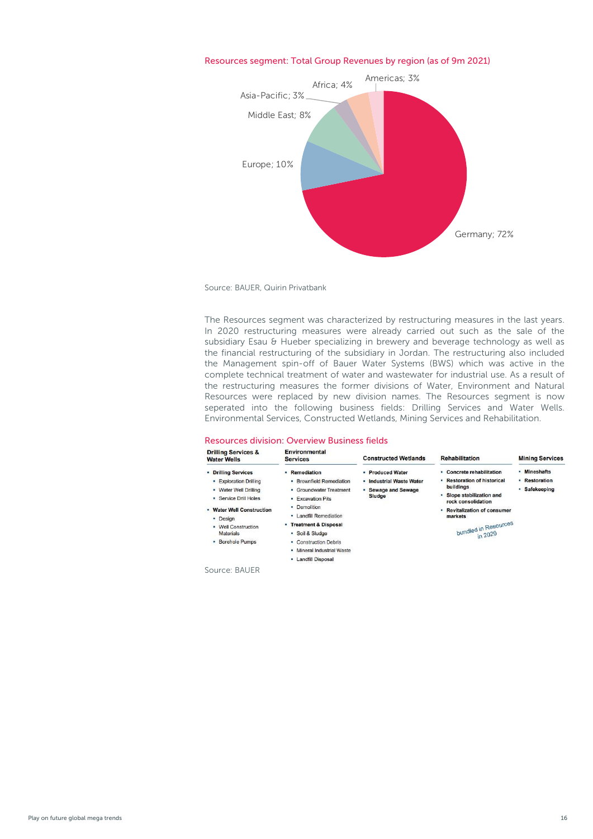

#### Resources segment: Total Group Revenues by region (as of 9m 2021)

Source: BAUER, Quirin Privatbank

The Resources segment was characterized by restructuring measures in the last years. In 2020 restructuring measures were already carried out such as the sale of the subsidiary Esau & Hueber specializing in brewery and beverage technology as well as the financial restructuring of the subsidiary in Jordan. The restructuring also included the Management spin-off of Bauer Water Systems (BWS) which was active in the complete technical treatment of water and wastewater for industrial use. As a result of the restructuring measures the former divisions of Water, Environment and Natural Resources were replaced by new division names. The Resources segment is now seperated into the following business fields: Drilling Services and Water Wells. Environmental Services, Constructed Wetlands, Mining Services and Rehabilitation.

### Resources division: Overview Business fields

| <b>Water Wells</b>                                                                                                                                                                               | <b>Services</b>                                                                                                                                                                                                                                                       | <b>Constructed Wetlands</b>                                                          | <b>Rehabilitation</b>                                                                                                                                                                                              | <b>Mining Services</b>                         |
|--------------------------------------------------------------------------------------------------------------------------------------------------------------------------------------------------|-----------------------------------------------------------------------------------------------------------------------------------------------------------------------------------------------------------------------------------------------------------------------|--------------------------------------------------------------------------------------|--------------------------------------------------------------------------------------------------------------------------------------------------------------------------------------------------------------------|------------------------------------------------|
| • Drilling Services<br>• Exploration Drilling<br>• Water Well Drilling<br>· Service Drill Holes<br>• Water Well Construction<br>· Design<br>• Well Construction<br>Materials<br>• Borehole Pumps | - Remediation<br>· Brownfield Remediation<br>• Groundwater Treatment<br><b>- Excavation Pits</b><br>· Demolition<br>• Landfill Remediation<br>- Treatment & Disposal<br>· Soil & Sludge<br>• Construction Debris<br>· Mineral Industrial Waste<br>• Landfill Disposal | • Produced Water<br>· Industrial Waste Water<br>• Sewage and Sewage<br><b>Sludge</b> | • Concrete rehabilitation<br>• Restoration of historical<br>buildings<br>· Slope stabilization and<br>rock consolidation<br>• Revitalization of consumer<br>markets<br>bundled in Resources<br>$\frac{1}{20}$ 2020 | • Mineshafts<br>• Restoration<br>• Safekeeping |

Source: BAUER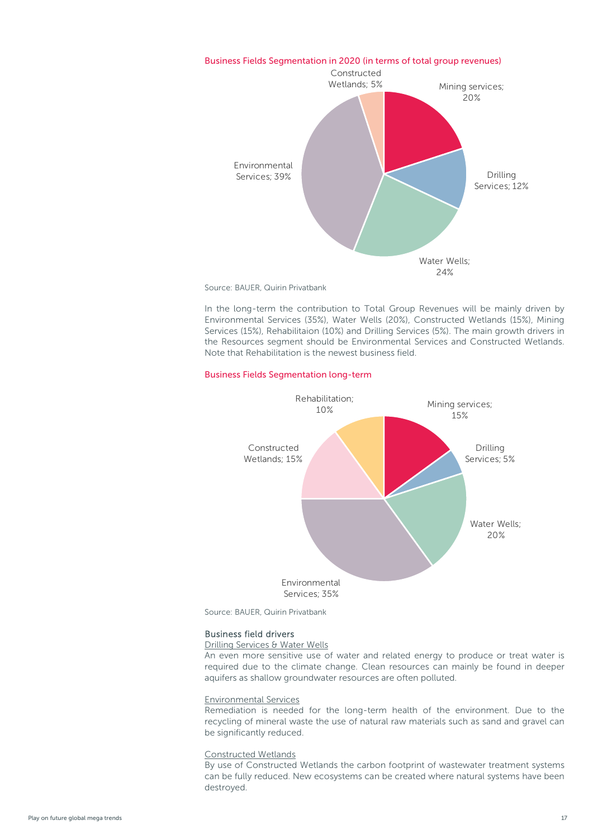

Source: BAUER, Quirin Privatbank

In the long-term the contribution to Total Group Revenues will be mainly driven by Environmental Services (35%), Water Wells (20%), Constructed Wetlands (15%), Mining Services (15%), Rehabilitaion (10%) and Drilling Services (5%). The main growth drivers in the Resources segment should be Environmental Services and Constructed Wetlands. Note that Rehabilitation is the newest business field.

#### Business Fields Segmentation long-term



Source: BAUER, Quirin Privatbank

#### Business field drivers

Drilling Services & Water Wells

An even more sensitive use of water and related energy to produce or treat water is required due to the climate change. Clean resources can mainly be found in deeper aquifers as shallow groundwater resources are often polluted.

#### Environmental Services

Remediation is needed for the long-term health of the environment. Due to the recycling of mineral waste the use of natural raw materials such as sand and gravel can be significantly reduced.

#### Constructed Wetlands

By use of Constructed Wetlands the carbon footprint of wastewater treatment systems can be fully reduced. New ecosystems can be created where natural systems have been destroyed.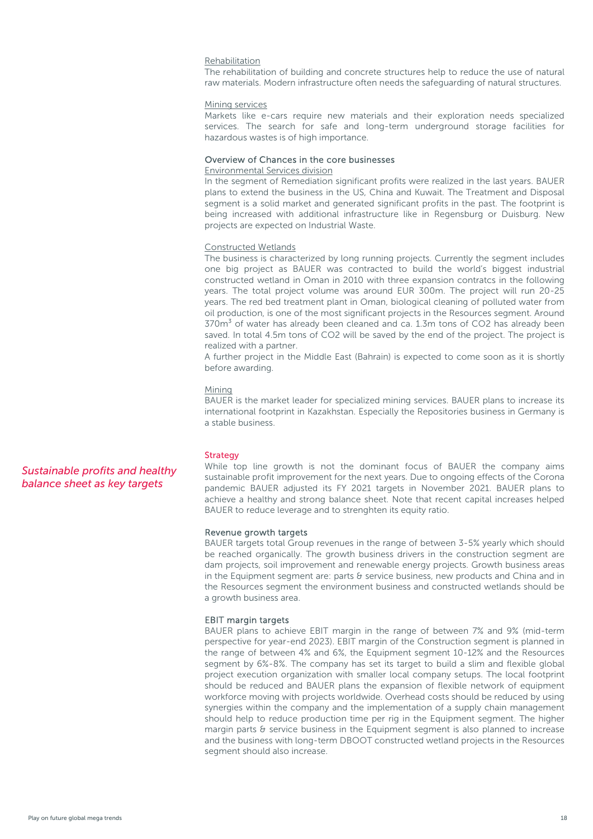#### Rehabilitation

The rehabilitation of building and concrete structures help to reduce the use of natural raw materials. Modern infrastructure often needs the safeguarding of natural structures.

#### Mining services

Markets like e-cars require new materials and their exploration needs specialized services. The search for safe and long-term underground storage facilities for hazardous wastes is of high importance.

#### Overview of Chances in the core businesses

#### Environmental Services division

In the segment of Remediation significant profits were realized in the last years. BAUER plans to extend the business in the US, China and Kuwait. The Treatment and Disposal segment is a solid market and generated significant profits in the past. The footprint is being increased with additional infrastructure like in Regensburg or Duisburg. New projects are expected on Industrial Waste.

#### Constructed Wetlands

The business is characterized by long running projects. Currently the segment includes one big project as BAUER was contracted to build the world's biggest industrial constructed wetland in Oman in 2010 with three expansion contratcs in the following years. The total project volume was around EUR 300m. The project will run 20-25 years. The red bed treatment plant in Oman, biological cleaning of polluted water from oil production, is one of the most significant projects in the Resources segment. Around  $370<sup>3</sup>$  of water has already been cleaned and ca. 1.3m tons of CO2 has already been saved. In total 4.5m tons of CO2 will be saved by the end of the project. The project is realized with a partner.

A further project in the Middle East (Bahrain) is expected to come soon as it is shortly before awarding.

#### Mining

BAUER is the market leader for specialized mining services. BAUER plans to increase its international footprint in Kazakhstan. Especially the Repositories business in Germany is a stable business.

#### **Strategy**

While top line growth is not the dominant focus of BAUER the company aims sustainable profit improvement for the next years. Due to ongoing effects of the Corona pandemic BAUER adjusted its FY 2021 targets in November 2021. BAUER plans to achieve a healthy and strong balance sheet. Note that recent capital increases helped BAUER to reduce leverage and to strenghten its equity ratio.

#### Revenue growth targets

BAUER targets total Group revenues in the range of between 3-5% yearly which should be reached organically. The growth business drivers in the construction segment are dam projects, soil improvement and renewable energy projects. Growth business areas in the Equipment segment are: parts  $\theta$  service business, new products and China and in the Resources segment the environment business and constructed wetlands should be a growth business area.

#### EBIT margin targets

BAUER plans to achieve EBIT margin in the range of between 7% and 9% (mid-term perspective for year-end 2023). EBIT margin of the Construction segment is planned in the range of between 4% and 6%, the Equipment segment 10-12% and the Resources segment by 6%-8%. The company has set its target to build a slim and flexible global project execution organization with smaller local company setups. The local footprint should be reduced and BAUER plans the expansion of flexible network of equipment workforce moving with projects worldwide. Overhead costs should be reduced by using synergies within the company and the implementation of a supply chain management should help to reduce production time per rig in the Equipment segment. The higher margin parts  $\theta$  service business in the Equipment segment is also planned to increase and the business with long-term DBOOT constructed wetland projects in the Resources segment should also increase.

## *Sustainable profits and healthy balance sheet as key targets*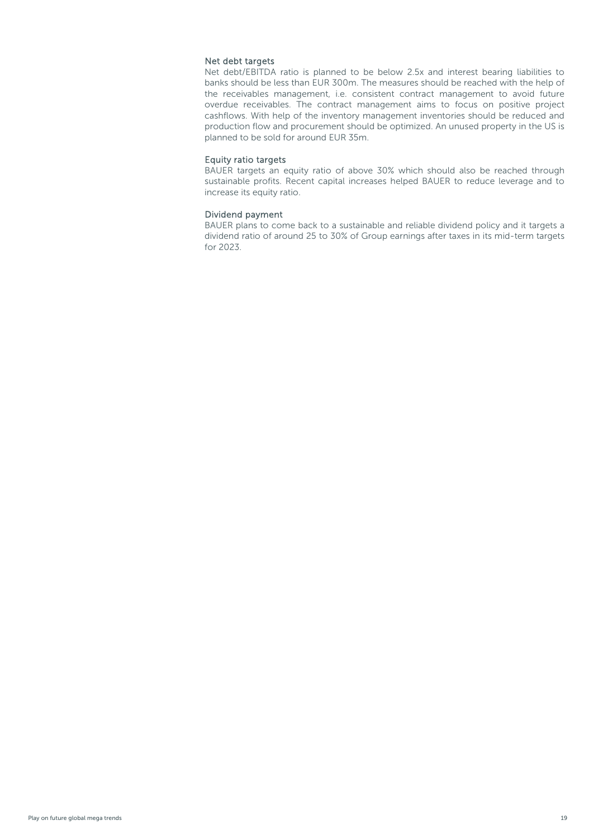#### Net debt targets

Net debt/EBITDA ratio is planned to be below 2.5x and interest bearing liabilities to banks should be less than EUR 300m. The measures should be reached with the help of the receivables management, i.e. consistent contract management to avoid future overdue receivables. The contract management aims to focus on positive project cashflows. With help of the inventory management inventories should be reduced and production flow and procurement should be optimized. An unused property in the US is planned to be sold for around EUR 35m.

#### Equity ratio targets

BAUER targets an equity ratio of above 30% which should also be reached through sustainable profits. Recent capital increases helped BAUER to reduce leverage and to increase its equity ratio.

#### Dividend payment

BAUER plans to come back to a sustainable and reliable dividend policy and it targets a dividend ratio of around 25 to 30% of Group earnings after taxes in its mid-term targets for 2023.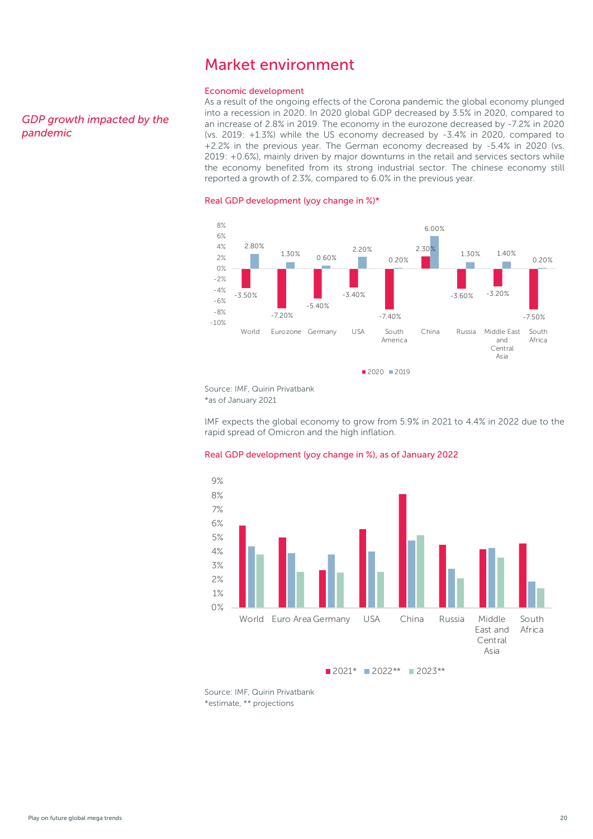## Market environment

#### Economic development

As a result of the ongoing effects of the Corona pandemic the global economy plunged into a recession in 2020. In 2020 global GDP decreased by 3.5% in 2020, compared to an increase of 2.8% in 2019. The economy in the eurozone decreased by -7.2% in 2020 (vs. 2019: +1.3%) while the US economy decreased by -3.4% in 2020, compared to +2.2% in the previous year. The German economy decreased by -5.4% in 2020 (vs. 2019: +0.6%), mainly driven by major downturns in the retail and services sectors while the economy benefited from its strong industrial sector. The chinese economy still reported a growth of 2.3%, compared to 6.0% in the previous year.

#### Real GDP development (yoy change in %)\*



Source: IMF, Quirin Privatbank \*as of January 2021

IMF expects the global economy to grow from 5.9% in 2021 to 4.4% in 2022 due to the rapid spread of Omicron and the high inflation.

#### Real GDP development (yoy change in %), as of January 2022



Source: IMF, Quirin Privatbank \*estimate, \*\* projections

#### <span id="page-19-0"></span>*GDP growth impacted by the pandemic*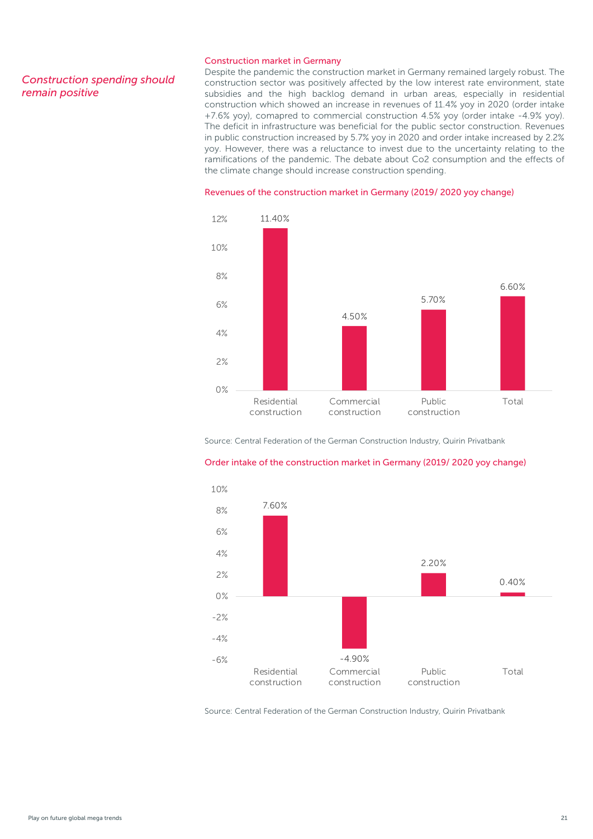#### *Construction spending should remain positive*

#### Construction market in Germany

Despite the pandemic the construction market in Germany remained largely robust. The construction sector was positively affected by the low interest rate environment, state subsidies and the high backlog demand in urban areas, especially in residential construction which showed an increase in revenues of 11.4% yoy in 2020 (order intake +7.6% yoy), comapred to commercial construction 4.5% yoy (order intake -4.9% yoy). The deficit in infrastructure was beneficial for the public sector construction. Revenues in public construction increased by 5.7% yoy in 2020 and order intake increased by 2.2% yoy. However, there was a reluctance to invest due to the uncertainty relating to the ramifications of the pandemic. The debate about Co2 consumption and the effects of the climate change should increase construction spending.

#### Revenues of the construction market in Germany (2019/ 2020 yoy change)



Source: Central Federation of the German Construction Industry, Quirin Privatbank



#### Order intake of the construction market in Germany (2019/ 2020 yoy change)

Source: Central Federation of the German Construction Industry, Quirin Privatbank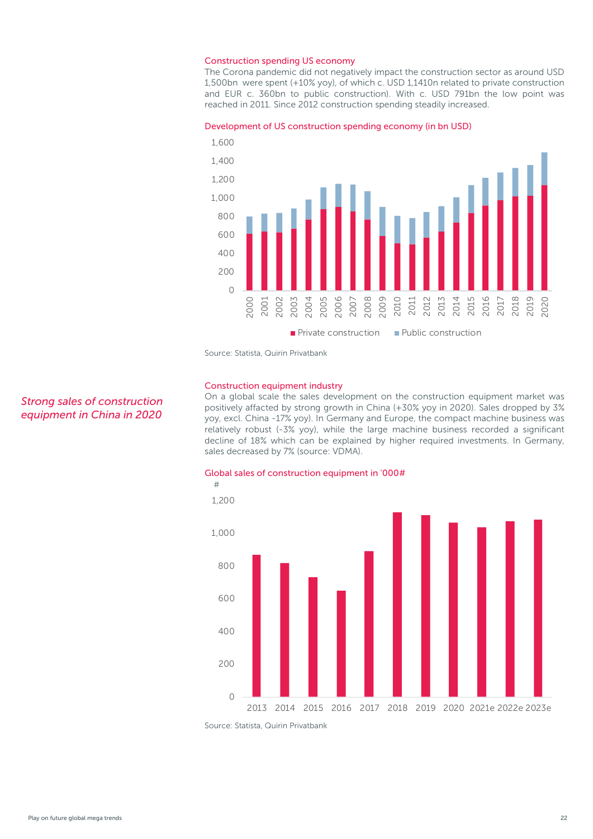#### Construction spending US economy

The Corona pandemic did not negatively impact the construction sector as around USD 1,500bn were spent (+10% yoy), of which c. USD 1,1410n related to private construction and EUR c. 360bn to public construction). With c. USD 791bn the low point was reached in 2011. Since 2012 construction spending steadily increased.

#### Development of US construction spending economy (in bn USD)



Source: Statista, Quirin Privatbank

#### Construction equipment industry

On a global scale the sales development on the construction equipment market was positively affacted by strong growth in China (+30% yoy in 2020). Sales dropped by 3% yoy, excl. China -17% yoy). In Germany and Europe, the compact machine business was relatively robust (-3% yoy), while the large machine business recorded a significant decline of 18% which can be explained by higher required investments. In Germany, sales decreased by 7% (source: VDMA).





Source: Statista, Quirin Privatbank

### *Strong sales of construction equipment in China in 2020*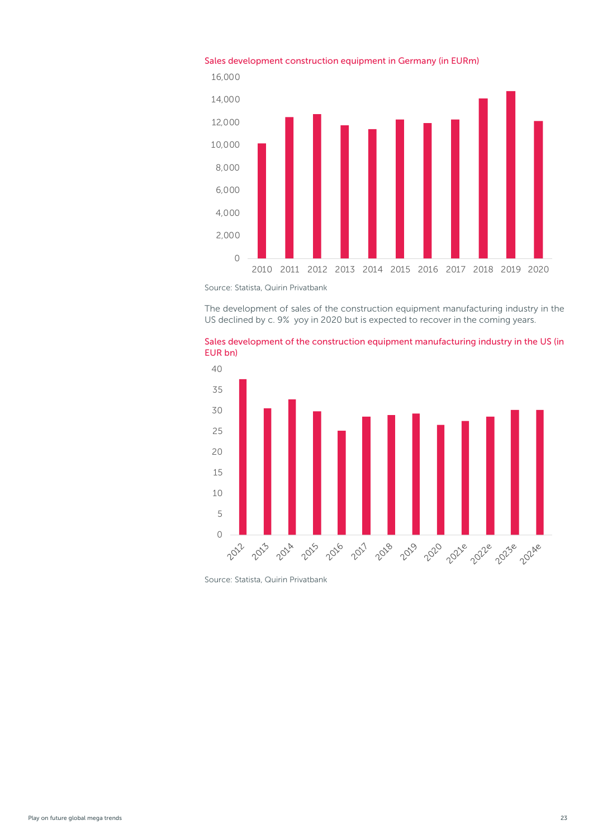

## Sales development construction equipment in Germany (in EURm)

Source: Statista, Quirin Privatbank

The development of sales of the construction equipment manufacturing industry in the US declined by c. 9% yoy in 2020 but is expected to recover in the coming years.





Source: Statista, Quirin Privatbank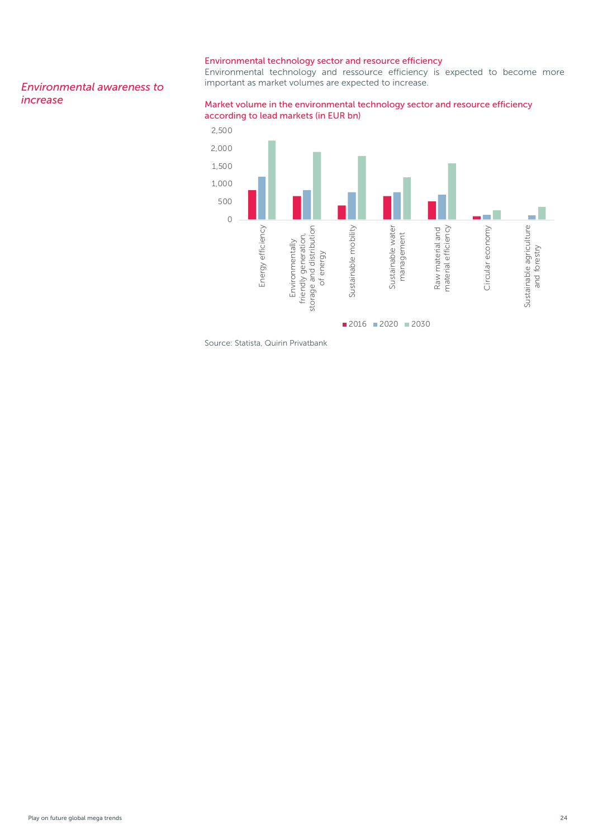#### Environmental technology sector and resource efficiency

Environmental technology and ressource efficiency is expected to become more important as market volumes are expected to increase.

#### *Environmental awareness to increase*

#### Market volume in the environmental technology sector and resource efficiency according to lead markets (in EUR bn)



Source: Statista, Quirin Privatbank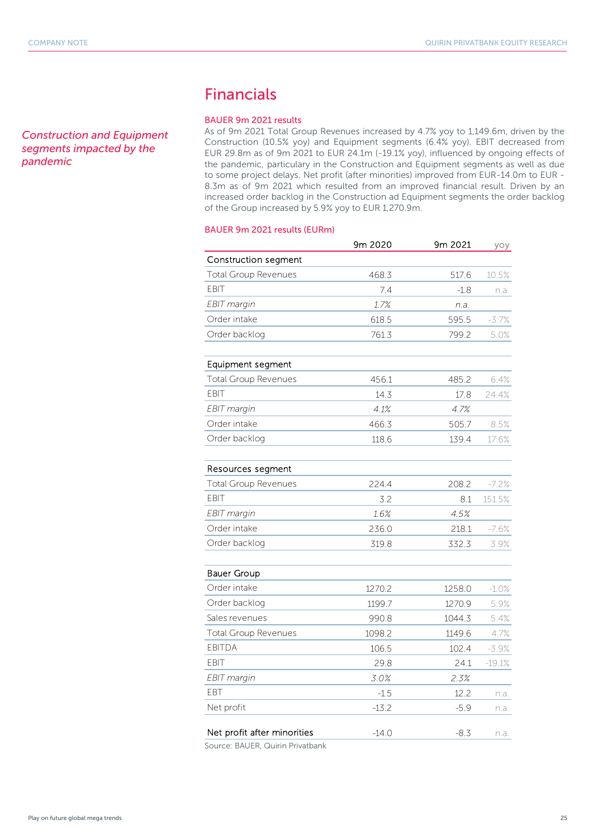<span id="page-24-0"></span>*Construction and Equipment segments impacted by the pandemic*

## Financials

#### BAUER 9m 2021 results

As of 9m 2021 Total Group Revenues increased by 4.7% yoy to 1,149.6m, driven by the Construction (10.5% yoy) and Equipment segments (6.4% yoy). EBIT decreased from EUR 29.8m as of 9m 2021 to EUR 24.1m (-19.1% yoy), influenced by ongoing effects of the pandemic, particulary in the Construction and Equipment segments as well as due to some project delays. Net profit (after minorities) improved from EUR-14.0m to EUR - 8.3m as of 9m 2021 which resulted from an improved financial result. Driven by an increased order backlog in the Construction ad Equipment segments the order backlog of the Group increased by 5.9% yoy to EUR 1,270.9m.

#### BAUER 9m 2021 results (EURm)

|                             | 9m 2020 | 9m 2021 | уоу      |
|-----------------------------|---------|---------|----------|
| Construction segment        |         |         |          |
| <b>Total Group Revenues</b> | 468.3   | 517.6   | 10.5%    |
| <b>EBIT</b>                 | 7.4     | $-1.8$  | n.a.     |
| EBIT margin                 | 1.7%    | n.a.    |          |
| Order intake                | 618.5   | 595.5   | $-3.7%$  |
| Order backlog               | 761.3   | 799.2   | 5.0%     |
| Equipment segment           |         |         |          |
| <b>Total Group Revenues</b> | 456.1   | 485.2   | 6.4%     |
| <b>EBIT</b>                 | 14.3    | 17.8    | 24.4%    |
| EBIT margin                 | 4.1%    | 4.7%    |          |
| Order intake                | 466.3   | 505.7   | 8.5%     |
| Order backlog               | 118.6   | 139.4   | 17.6%    |
| Resources segment           |         |         |          |
| <b>Total Group Revenues</b> | 224.4   | 208.2   | $-7.2%$  |
| <b>EBIT</b>                 | 3.2     | 8.1     | 151.5%   |
| EBIT margin                 | 1.6%    | 4.5%    |          |
| Order intake                | 236.0   | 218.1   | $-7.6%$  |
| Order backlog               | 319.8   | 332.3   | 3.9%     |
| <b>Bauer Group</b>          |         |         |          |
| Order intake                | 1270.2  | 1258.0  | $-1.0%$  |
| Order backlog               | 1199.7  | 1270.9  | 5.9%     |
| Sales revenues              | 990.8   | 1044.3  | 5.4%     |
| Total Group Revenues        | 1098.2  | 1149.6  | 4.7%     |
| <b>EBITDA</b>               | 106.5   | 102.4   | -3.9%    |
| FBIT                        | 29.8    | 24.1    | $-19.1%$ |
| EBIT margin                 | 3.0%    | 2.3%    |          |
| EBT                         | $-1.5$  | 12.2    | n.a.     |
| Net profit                  | $-13.2$ | $-5.9$  | n.a.     |
| Net profit after minorities | $-14.0$ | $-8.3$  | n.a.     |

Source: BAUER, Quirin Privatbank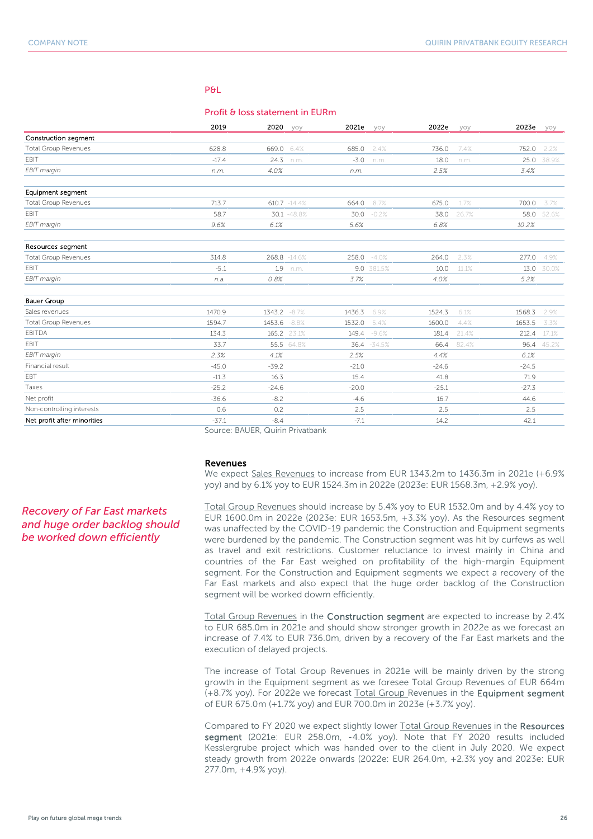#### P&L

#### Profit & loss statement in EURm

|                             | 2019    | 2020    | yoy          | 2021e   | yoy          | 2022e   | yoy   | 2023e   | yoy   |
|-----------------------------|---------|---------|--------------|---------|--------------|---------|-------|---------|-------|
| Construction segment        |         |         |              |         |              |         |       |         |       |
| <b>Total Group Revenues</b> | 628.8   | 669.0   | 6.4%         | 685.0   | 2.4%         | 736.0   | 7.4%  | 752.0   | 2.2%  |
| <b>EBIT</b>                 | $-17.4$ | 24.3    | n.m.         | $-3.0$  | n.m.         | 18.0    | n.m.  | 25.0    | 38.9% |
| EBIT margin                 | n.m.    | 4.0%    |              | n.m.    |              | 2.5%    |       | 3.4%    |       |
| Equipment segment           |         |         |              |         |              |         |       |         |       |
| <b>Total Group Revenues</b> | 713.7   |         | 610.7 -14.4% | 664.0   | 8.7%         | 675.0   | 1.7%  | 700.0   | 3.7%  |
| <b>EBIT</b>                 | 58.7    |         | 30.1 -48.8%  | 30.0    | $-0.2%$      | 38.0    | 26.7% | 58.0    | 52.6% |
| EBIT margin                 | 9.6%    | 6.1%    |              | 5.6%    |              | 6.8%    |       | 10.2%   |       |
| Resources segment           |         |         |              |         |              |         |       |         |       |
| <b>Total Group Revenues</b> | 314.8   |         | 268.8 -14.6% | 258.0   | $-4.0%$      | 264.0   | 2.3%  | 277.0   | 4.9%  |
| EBIT                        | $-5.1$  | 1.9     | n.m.         |         | 9.0 381.5%   | 10.0    | 11.1% | 13.0    | 30.0% |
| EBIT margin                 | n.a.    | 0.8%    |              | 3.7%    |              | 4.0%    |       | 5.2%    |       |
| <b>Bauer Group</b>          |         |         |              |         |              |         |       |         |       |
| Sales revenues              | 1470.9  | 1343.2  | $-8.7%$      | 1436.3  | 6.9%         | 1524.3  | 6.1%  | 1568.3  | 2.9%  |
| <b>Total Group Revenues</b> | 1594.7  | 1453.6  | $-8.8%$      | 1532.0  | 5.4%         | 1600.0  | 4.4%  | 1653.5  | 3.3%  |
| <b>EBITDA</b>               | 134.3   |         | 165.2 23.1%  | 149.4   | $-9.6%$      | 181.4   | 21.4% | 212.4   | 17.1% |
| EBIT                        | 33.7    |         | 55.5 64.8%   |         | 36.4 - 34.5% | 66.4    | 82.4% | 96.4    | 45.2% |
| EBIT margin                 | 2.3%    | 4.1%    |              | 2.5%    |              | 4.4%    |       | 6.1%    |       |
| Financial result            | $-45.0$ | $-39.2$ |              | $-21.0$ |              | $-24.6$ |       | $-24.5$ |       |
| EBT                         | $-11.3$ | 16.3    |              | 15.4    |              | 41.8    |       | 71.9    |       |
| Taxes                       | $-25.2$ | $-24.6$ |              | $-20.0$ |              | $-25.1$ |       | $-27.3$ |       |
| Net profit                  | $-36.6$ | $-8.2$  |              | $-4.6$  |              | 16.7    |       | 44.6    |       |
| Non-controlling interests   | 0.6     | 0.2     |              | 2.5     |              | 2.5     |       | 2.5     |       |
| Net profit after minorities | $-37.1$ | $-8.4$  |              | $-7.1$  |              | 14.2    |       | 42.1    |       |

Source: BAUER, Quirin Privatbank

#### Revenues

We expect Sales Revenues to increase from EUR 1343.2m to 1436.3m in 2021e (+6.9% yoy) and by 6.1% yoy to EUR 1524.3m in 2022e (2023e: EUR 1568.3m, +2.9% yoy).

Total Group Revenues should increase by 5.4% yoy to EUR 1532.0m and by 4.4% yoy to EUR 1600.0m in 2022e (2023e: EUR 1653.5m, +3.3% yoy). As the Resources segment was unaffected by the COVID-19 pandemic the Construction and Equipment segments were burdened by the pandemic. The Construction segment was hit by curfews as well as travel and exit restrictions. Customer reluctance to invest mainly in China and countries of the Far East weighed on profitability of the high-margin Equipment segment. For the Construction and Equipment segments we expect a recovery of the Far East markets and also expect that the huge order backlog of the Construction segment will be worked dowm efficiently.

Total Group Revenues in the Construction segment are expected to increase by 2.4% to EUR 685.0m in 2021e and should show stronger growth in 2022e as we forecast an increase of 7.4% to EUR 736.0m, driven by a recovery of the Far East markets and the execution of delayed projects.

The increase of Total Group Revenues in 2021e will be mainly driven by the strong growth in the Equipment segment as we foresee Total Group Revenues of EUR 664m (+8.7% yoy). For 2022e we forecast Total Group Revenues in the Equipment segment of EUR 675.0m (+1.7% yoy) and EUR 700.0m in 2023e (+3.7% yoy).

Compared to FY 2020 we expect slightly lower Total Group Revenues in the Resources segment (2021e: EUR 258.0m, -4.0% yoy). Note that FY 2020 results included Kesslergrube project which was handed over to the client in July 2020. We expect steady growth from 2022e onwards (2022e: EUR 264.0m, +2.3% yoy and 2023e: EUR 277.0m, +4.9% yoy).

#### *Recovery of Far East markets and huge order backlog should be worked down efficiently*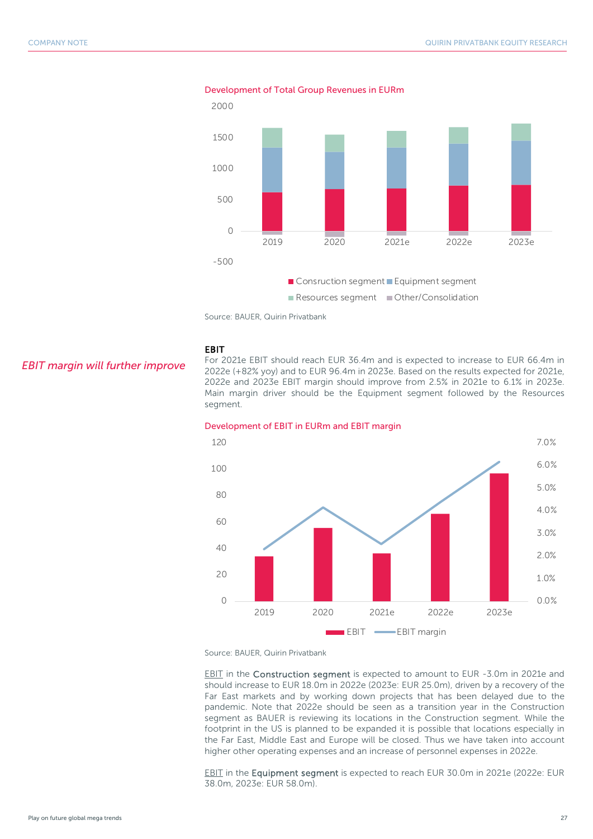

Development of Total Group Revenues in EURm



EBIT

#### *EBIT margin will further improve*

For 2021e EBIT should reach EUR 36.4m and is expected to increase to EUR 66.4m in 2022e (+82% yoy) and to EUR 96.4m in 2023e. Based on the results expected for 2021e, 2022e and 2023e EBIT margin should improve from 2.5% in 2021e to 6.1% in 2023e. Main margin driver should be the Equipment segment followed by the Resources segment.



#### Development of EBIT in EURm and EBIT margin

Source: BAUER, Quirin Privatbank

EBIT in the Construction segment is expected to amount to EUR -3.0m in 2021e and should increase to EUR 18.0m in 2022e (2023e: EUR 25.0m), driven by a recovery of the Far East markets and by working down projects that has been delayed due to the pandemic. Note that 2022e should be seen as a transition year in the Construction segment as BAUER is reviewing its locations in the Construction segment. While the footprint in the US is planned to be expanded it is possible that locations especially in the Far East, Middle East and Europe will be closed. Thus we have taken into account higher other operating expenses and an increase of personnel expenses in 2022e.

EBIT in the Equipment segment is expected to reach EUR 30.0m in 2021e (2022e: EUR 38.0m, 2023e: EUR 58.0m).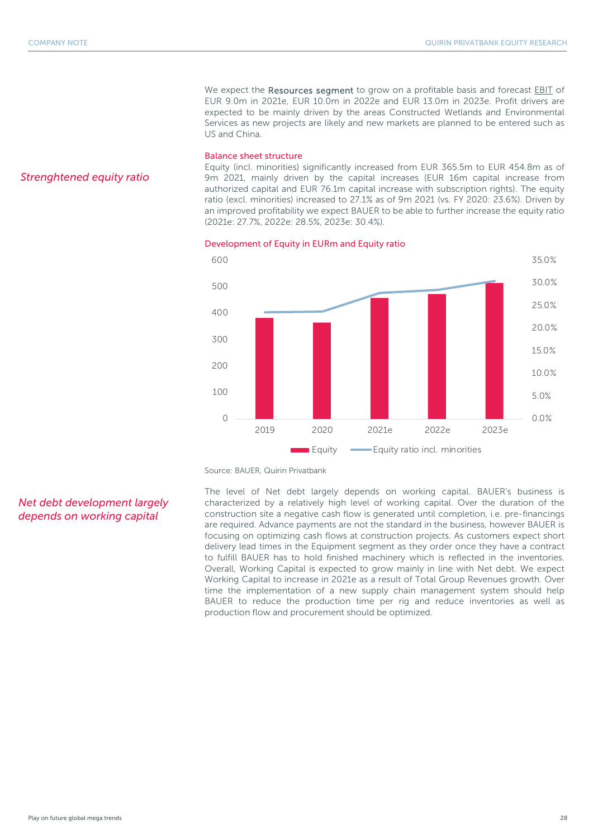We expect the Resources segment to grow on a profitable basis and forecast EBIT of EUR 9.0m in 2021e, EUR 10.0m in 2022e and EUR 13.0m in 2023e. Profit drivers are expected to be mainly driven by the areas Constructed Wetlands and Environmental Services as new projects are likely and new markets are planned to be entered such as US and China.

#### Balance sheet structure

Equity (incl. minorities) significantly increased from EUR 365.5m to EUR 454.8m as of 9m 2021, mainly driven by the capital increases (EUR 16m capital increase from authorized capital and EUR 76.1m capital increase with subscription rights). The equity ratio (excl. minorities) increased to 27.1% as of 9m 2021 (vs. FY 2020: 23.6%). Driven by an improved profitability we expect BAUER to be able to further increase the equity ratio (2021e: 27.7%, 2022e: 28.5%, 2023e: 30.4%).

#### Development of Equity in EURm and Equity ratio



*Strenghtened equity ratio* 

Source: BAUER, Quirin Privatbank

*Net debt development largely depends on working capital*

The level of Net debt largely depends on working capital. BAUER's business is characterized by a relatively high level of working capital. Over the duration of the construction site a negative cash flow is generated until completion, i.e. pre-financings are required. Advance payments are not the standard in the business, however BAUER is focusing on optimizing cash flows at construction projects. As customers expect short delivery lead times in the Equipment segment as they order once they have a contract to fulfill BAUER has to hold finished machinery which is reflected in the inventories. Overall, Working Capital is expected to grow mainly in line with Net debt. We expect Working Capital to increase in 2021e as a result of Total Group Revenues growth. Over time the implementation of a new supply chain management system should help BAUER to reduce the production time per rig and reduce inventories as well as production flow and procurement should be optimized.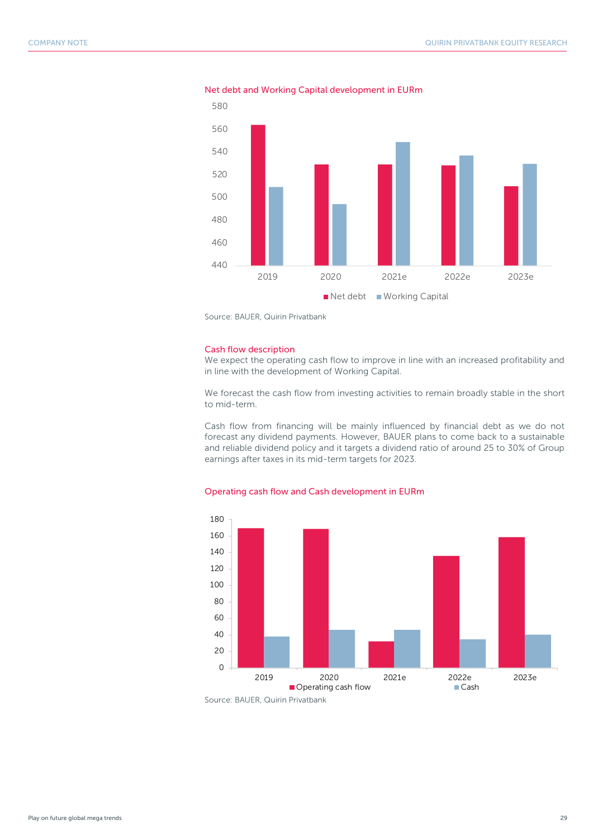

Net debt and Working Capital development in EURm

Source: BAUER, Quirin Privatbank

#### Cash flow description

We expect the operating cash flow to improve in line with an increased profitability and in line with the development of Working Capital.

We forecast the cash flow from investing activities to remain broadly stable in the short to mid-term.

Cash flow from financing will be mainly influenced by financial debt as we do not forecast any dividend payments. However, BAUER plans to come back to a sustainable and reliable dividend policy and it targets a dividend ratio of around 25 to 30% of Group earnings after taxes in its mid-term targets for 2023.



2019 2020 2021e 2022e 2023e Operating cash flow Cash

#### Operating cash flow and Cash development in EURm

Source: BAUER, Quirin Privatbank

0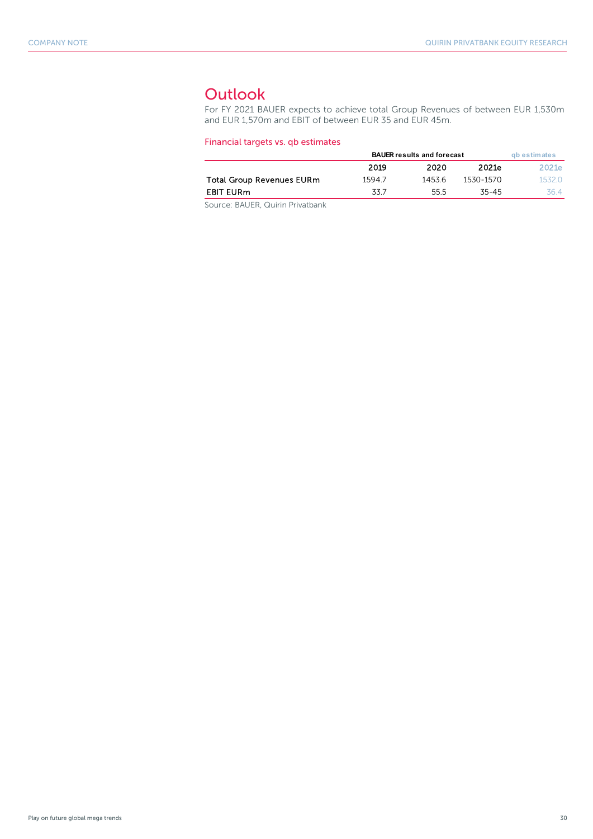## <span id="page-29-0"></span>**Outlook**

For FY 2021 BAUER expects to achieve total Group Revenues of between EUR 1,530m and EUR 1,570m and EBIT of between EUR 35 and EUR 45m.

#### Financial targets vs. qb estimates

|                                  | <b>BAUER results and forecast</b> | gb estimates |           |        |
|----------------------------------|-----------------------------------|--------------|-----------|--------|
|                                  | 2019                              | 2020         | 2021e     | 2021e  |
| <b>Total Group Revenues EURm</b> | 15947                             | 1453.6       | 1530-1570 | 1532 O |
| <b>EBIT EURm</b>                 | 33.7                              | 55.5         | 35-45     | 36 4   |
|                                  |                                   |              |           |        |

Source: BAUER, Quirin Privatbank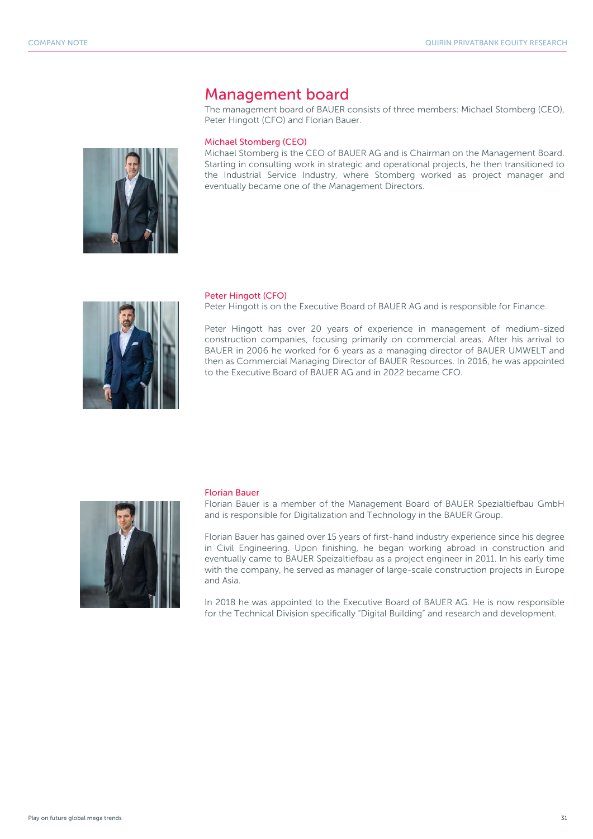## <span id="page-30-0"></span>Management board

The management board of BAUER consists of three members: Michael Stomberg (CEO), Peter Hingott (CFO) and Florian Bauer.

#### Michael Stomberg (CEO)

Michael Stomberg is the CEO of BAUER AG and is Chairman on the Management Board. Starting in consulting work in strategic and operational projects, he then transitioned to the Industrial Service Industry, where Stomberg worked as project manager and eventually became one of the Management Directors.



#### Peter Hingott (CFO)

Peter Hingott is on the Executive Board of BAUER AG and is responsible for Finance.

Peter Hingott has over 20 years of experience in management of medium-sized construction companies, focusing primarily on commercial areas. After his arrival to BAUER in 2006 he worked for 6 years as a managing director of BAUER UMWELT and then as Commercial Managing Director of BAUER Resources. In 2016, he was appointed to the Executive Board of BAUER AG and in 2022 became CFO.



#### Florian Bauer

Florian Bauer is a member of the Management Board of BAUER Spezialtiefbau GmbH and is responsible for Digitalization and Technology in the BAUER Group.

Florian Bauer has gained over 15 years of first-hand industry experience since his degree in Civil Engineering. Upon finishing, he began working abroad in construction and eventually came to BAUER Speizaltiefbau as a project engineer in 2011. In his early time with the company, he served as manager of large-scale construction projects in Europe and Asia.

In 2018 he was appointed to the Executive Board of BAUER AG. He is now responsible for the Technical Division specifically "Digital Building" and research and development.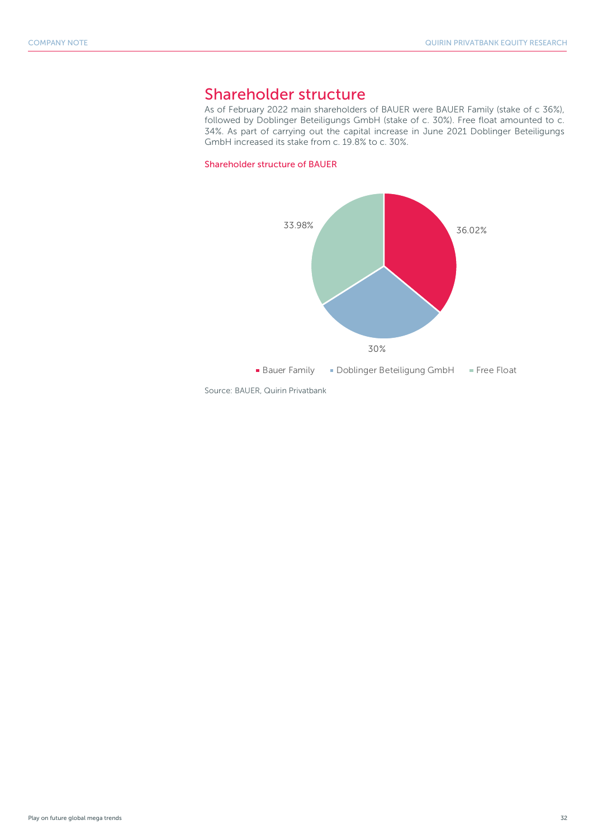## <span id="page-31-0"></span>Shareholder structure

As of February 2022 main shareholders of BAUER were BAUER Family (stake of c 36%), followed by Doblinger Beteiligungs GmbH (stake of c. 30%). Free float amounted to c. 34%. As part of carrying out the capital increase in June 2021 Doblinger Beteiligungs GmbH increased its stake from c. 19.8% to c. 30%.

#### Shareholder structure of BAUER



Source: BAUER, Quirin Privatbank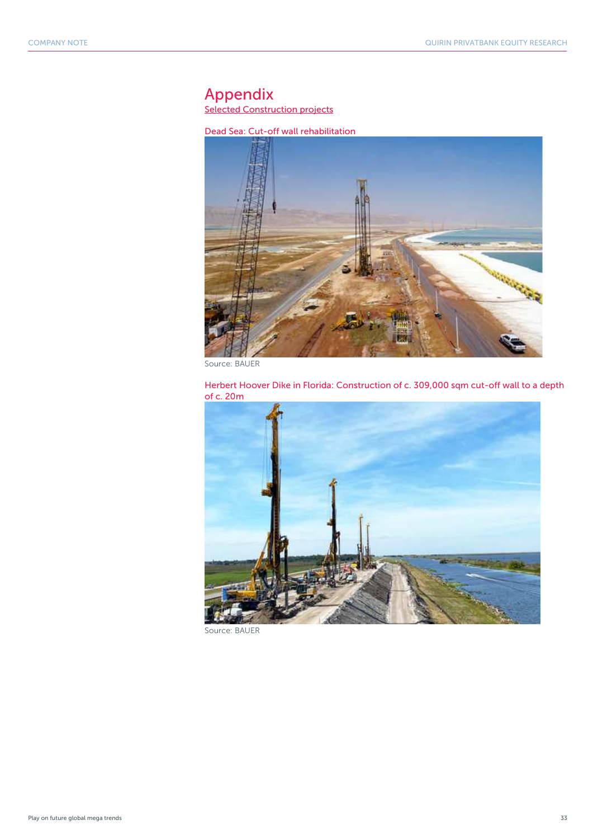## <span id="page-32-0"></span>Appendix

**Selected Construction projects** 

Dead Sea: Cut-off wall rehabilitation



Source: BAUER





Source: BAUER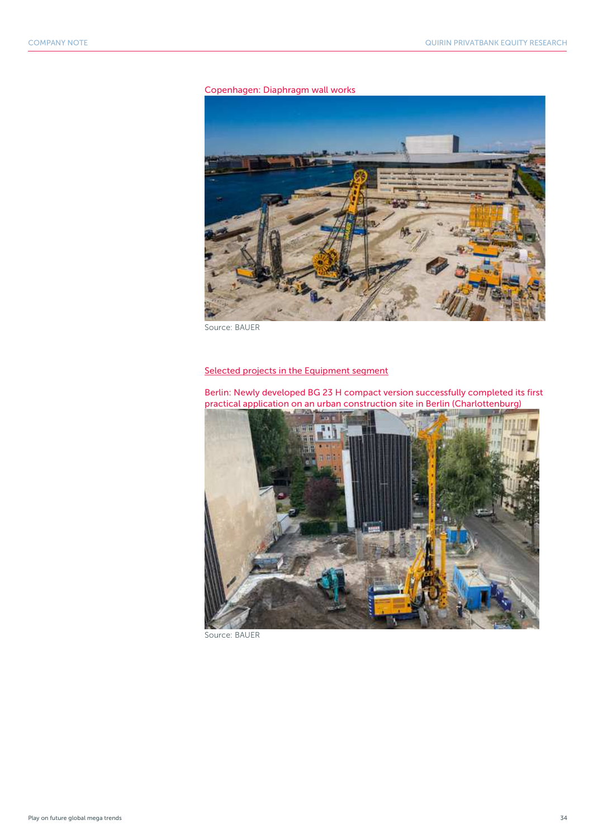

Copenhagen: Diaphragm wall works

Source: BAUER

#### Selected projects in the Equipment segment

Berlin: Newly developed BG 23 H compact version successfully completed its first practical application on an urban construction site in Berlin (Charlottenburg)



Source: BAUER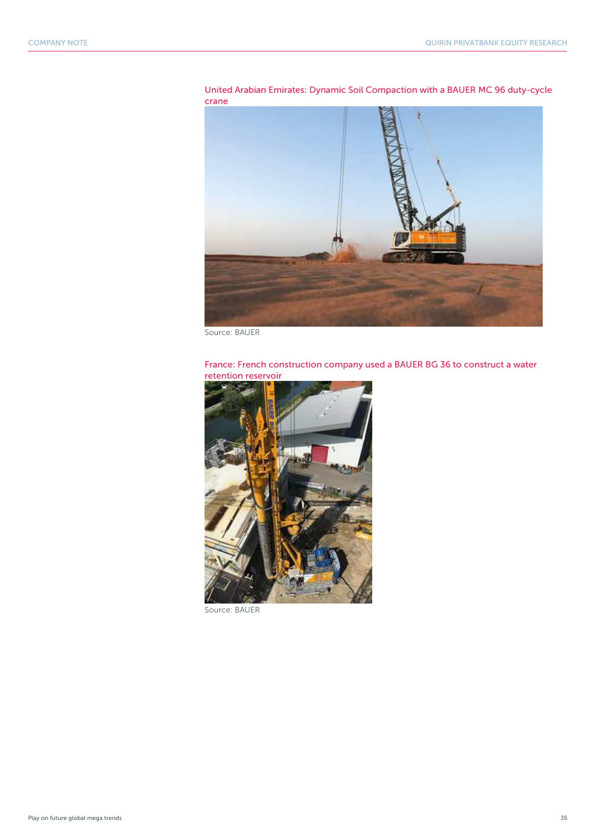

United Arabian Emirates: Dynamic Soil Compaction with a BAUER MC 96 duty-cycle

Source: BAUER

#### France: French construction company used a BAUER BG 36 to construct a water retention reservoir



Source: BAUER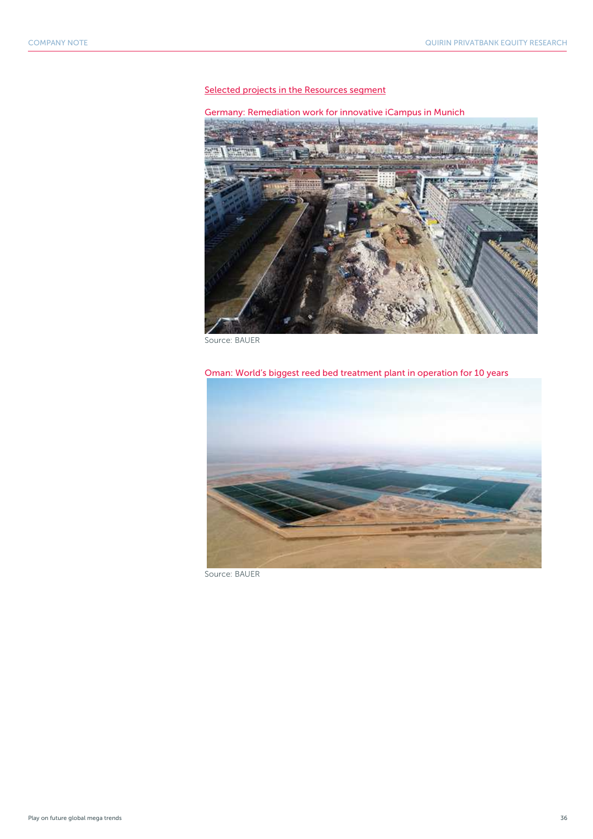#### Selected projects in the Resources segment

Germany: Remediation work for innovative iCampus in Munich



Source: BAUER

Oman: World's biggest reed bed treatment plant in operation for 10 years



Source: BAUER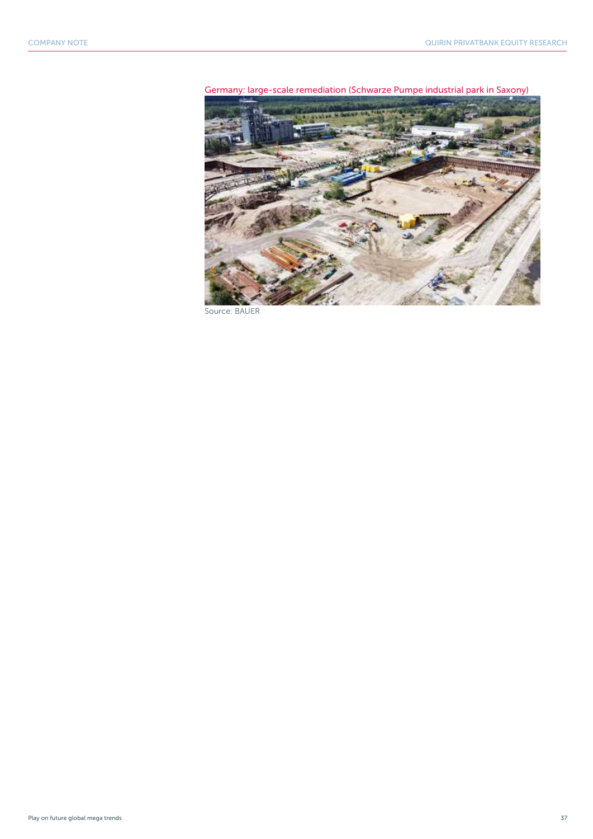



Source: BAUER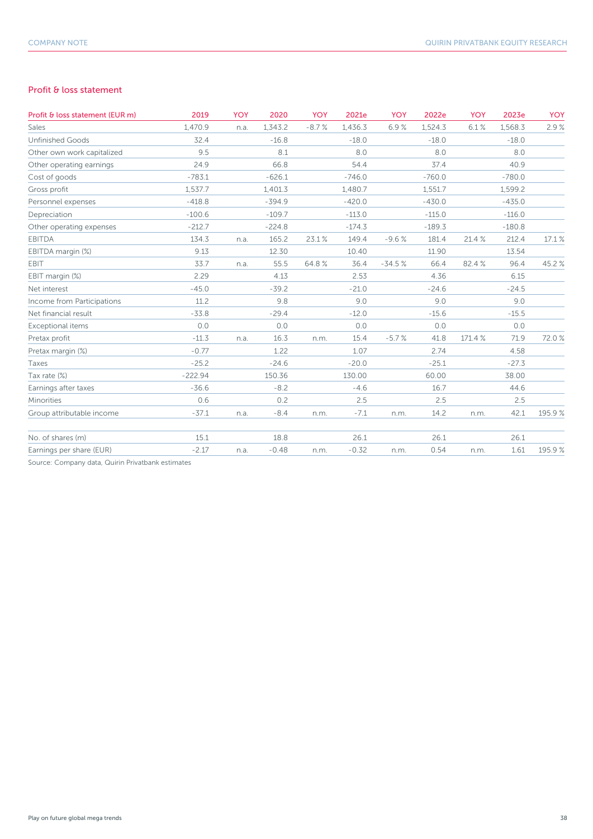#### Profit & loss statement

| Profit & loss statement (EUR m) | 2019      | <b>YOY</b> | 2020     | <b>YOY</b> | 2021e    | <b>YOY</b> | 2022e    | <b>YOY</b> | 2023e    | <b>YOY</b> |
|---------------------------------|-----------|------------|----------|------------|----------|------------|----------|------------|----------|------------|
| Sales                           | 1,470.9   | n.a.       | 1,343.2  | $-8.7%$    | 1,436.3  | 6.9%       | 1,524.3  | 6.1%       | 1,568.3  | 2.9%       |
| <b>Unfinished Goods</b>         | 32.4      |            | $-16.8$  |            | $-18.0$  |            | $-18.0$  |            | $-18.0$  |            |
| Other own work capitalized      | 9.5       |            | 8.1      |            | 8.0      |            | 8.0      |            | 8.0      |            |
| Other operating earnings        | 24.9      |            | 66.8     |            | 54.4     |            | 37.4     |            | 40.9     |            |
| Cost of goods                   | $-783.1$  |            | $-626.1$ |            | $-746.0$ |            | $-760.0$ |            | $-780.0$ |            |
| Gross profit                    | 1.537.7   |            | 1,401.3  |            | 1,480.7  |            | 1,551.7  |            | 1,599.2  |            |
| Personnel expenses              | $-418.8$  |            | $-394.9$ |            | $-420.0$ |            | $-430.0$ |            | $-435.0$ |            |
| Depreciation                    | $-100.6$  |            | $-109.7$ |            | $-113.0$ |            | $-115.0$ |            | $-116.0$ |            |
| Other operating expenses        | $-212.7$  |            | $-224.8$ |            | $-174.3$ |            | $-189.3$ |            | $-180.8$ |            |
| <b>EBITDA</b>                   | 134.3     | n.a.       | 165.2    | 23.1%      | 149.4    | $-9.6%$    | 181.4    | 21.4 %     | 212.4    | 17.1 %     |
| EBITDA margin (%)               | 9.13      |            | 12.30    |            | 10.40    |            | 11.90    |            | 13.54    |            |
| EBIT                            | 33.7      | n.a.       | 55.5     | 64.8%      | 36.4     | $-34.5%$   | 66.4     | 82.4%      | 96.4     | 45.2%      |
| EBIT margin (%)                 | 2.29      |            | 4.13     |            | 2.53     |            | 4.36     |            | 6.15     |            |
| Net interest                    | $-45.0$   |            | $-39.2$  |            | $-21.0$  |            | $-24.6$  |            | $-24.5$  |            |
| Income from Participations      | 11.2      |            | 9.8      |            | 9.0      |            | 9.0      |            | 9.0      |            |
| Net financial result            | $-33.8$   |            | $-29.4$  |            | $-12.0$  |            | $-15.6$  |            | $-15.5$  |            |
| Exceptional items               | 0.0       |            | 0.0      |            | 0.0      |            | 0.0      |            | 0.0      |            |
| Pretax profit                   | $-11.3$   | n.a.       | 16.3     | n.m.       | 15.4     | $-5.7%$    | 41.8     | 171.4 %    | 71.9     | 72.0%      |
| Pretax margin (%)               | $-0.77$   |            | 1.22     |            | 1.07     |            | 2.74     |            | 4.58     |            |
| Taxes                           | $-25.2$   |            | $-24.6$  |            | $-20.0$  |            | $-25.1$  |            | $-27.3$  |            |
| Tax rate (%)                    | $-222.94$ |            | 150.36   |            | 130.00   |            | 60.00    |            | 38.00    |            |
| Earnings after taxes            | $-36.6$   |            | $-8.2$   |            | $-4.6$   |            | 16.7     |            | 44.6     |            |
| Minorities                      | 0.6       |            | 0.2      |            | 2.5      |            | 2.5      |            | 2.5      |            |
| Group attributable income       | $-37.1$   | n.a.       | $-8.4$   | n.m.       | $-7.1$   | n.m.       | 14.2     | n.m.       | 42.1     | 195.9%     |
| No. of shares (m)               | 15.1      |            | 18.8     |            | 26.1     |            | 26.1     |            | 26.1     |            |
| Earnings per share (EUR)        | $-2.17$   | n.a.       | $-0.48$  | n.m.       | $-0.32$  | n.m.       | 0.54     | n.m.       | 1.61     | 195.9%     |

Source: Company data, Quirin Privatbank estimates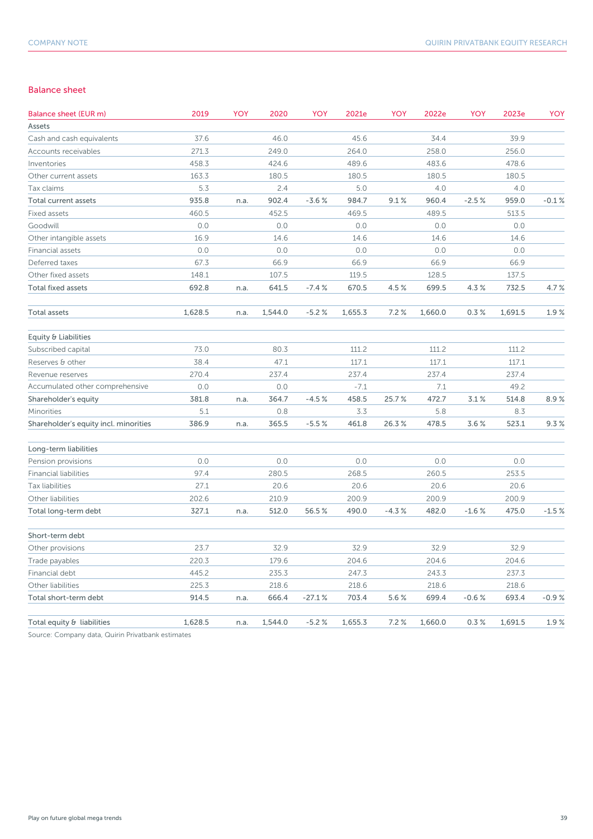#### Balance sheet

| Balance sheet (EUR m)                 | 2019    | YOY  | 2020    | YOY      | 2021e   | YOY     | 2022e   | YOY     | 2023e   | YOY     |
|---------------------------------------|---------|------|---------|----------|---------|---------|---------|---------|---------|---------|
| Assets                                |         |      |         |          |         |         |         |         |         |         |
| Cash and cash equivalents             | 37.6    |      | 46.0    |          | 45.6    |         | 34.4    |         | 39.9    |         |
| Accounts receivables                  | 271.3   |      | 249.0   |          | 264.0   |         | 258.0   |         | 256.0   |         |
| Inventories                           | 458.3   |      | 424.6   |          | 489.6   |         | 483.6   |         | 478.6   |         |
| Other current assets                  | 163.3   |      | 180.5   |          | 180.5   |         | 180.5   |         | 180.5   |         |
| Tax claims                            | 5.3     |      | 2.4     |          | 5.0     |         | 4.0     |         | 4.0     |         |
| Total current assets                  | 935.8   | n.a. | 902.4   | $-3.6%$  | 984.7   | 9.1%    | 960.4   | $-2.5%$ | 959.0   | $-0.1%$ |
| Fixed assets                          | 460.5   |      | 452.5   |          | 469.5   |         | 489.5   |         | 513.5   |         |
| Goodwill                              | 0.0     |      | 0.0     |          | 0.0     |         | 0.0     |         | 0.0     |         |
| Other intangible assets               | 16.9    |      | 14.6    |          | 14.6    |         | 14.6    |         | 14.6    |         |
| Financial assets                      | 0.0     |      | 0.0     |          | 0.0     |         | 0.0     |         | 0.0     |         |
| Deferred taxes                        | 67.3    |      | 66.9    |          | 66.9    |         | 66.9    |         | 66.9    |         |
| Other fixed assets                    | 148.1   |      | 107.5   |          | 119.5   |         | 128.5   |         | 137.5   |         |
| <b>Total fixed assets</b>             | 692.8   | n.a. | 641.5   | $-7.4%$  | 670.5   | 4.5%    | 699.5   | 4.3%    | 732.5   | 4.7%    |
| Total assets                          | 1,628.5 | n.a. | 1,544.0 | $-5.2%$  | 1,655.3 | 7.2%    | 1,660.0 | 0.3%    | 1,691.5 | 1.9%    |
| Equity & Liabilities                  |         |      |         |          |         |         |         |         |         |         |
| Subscribed capital                    | 73.0    |      | 80.3    |          | 111.2   |         | 111.2   |         | 111.2   |         |
| Reserves & other                      | 38.4    |      | 47.1    |          | 117.1   |         | 117.1   |         | 117.1   |         |
| Revenue reserves                      | 270.4   |      | 237.4   |          | 237.4   |         | 237.4   |         | 237.4   |         |
| Accumulated other comprehensive       | 0.0     |      | 0.0     |          | $-7.1$  |         | 7.1     |         | 49.2    |         |
| Shareholder's equity                  | 381.8   | n.a. | 364.7   | $-4.5%$  | 458.5   | 25.7%   | 472.7   | 3.1%    | 514.8   | 8.9%    |
| Minorities                            | 5.1     |      | 0.8     |          | 3.3     |         | 5.8     |         | 8.3     |         |
| Shareholder's equity incl. minorities | 386.9   | n.a. | 365.5   | $-5.5%$  | 461.8   | 26.3%   | 478.5   | 3.6%    | 523.1   | 9.3%    |
| Long-term liabilities                 |         |      |         |          |         |         |         |         |         |         |
| Pension provisions                    | 0.0     |      | 0.0     |          | 0.0     |         | 0.0     |         | 0.0     |         |
| <b>Financial liabilities</b>          | 97.4    |      | 280.5   |          | 268.5   |         | 260.5   |         | 253.5   |         |
| Tax liabilities                       | 27.1    |      | 20.6    |          | 20.6    |         | 20.6    |         | 20.6    |         |
| Other liabilities                     | 202.6   |      | 210.9   |          | 200.9   |         | 200.9   |         | 200.9   |         |
| Total long-term debt                  | 327.1   | n.a. | 512.0   | 56.5%    | 490.0   | $-4.3%$ | 482.0   | $-1.6%$ | 475.0   | $-1.5%$ |
| Short-term debt                       |         |      |         |          |         |         |         |         |         |         |
| Other provisions                      | 23.7    |      | 32.9    |          | 32.9    |         | 32.9    |         | 32.9    |         |
| Trade payables                        | 220.3   |      | 179.6   |          | 204.6   |         | 204.6   |         | 204.6   |         |
| Financial debt                        | 445.2   |      | 235.3   |          | 247.3   |         | 243.3   |         | 237.3   |         |
| Other liabilities                     | 225.3   |      | 218.6   |          | 218.6   |         | 218.6   |         | 218.6   |         |
| Total short-term debt                 | 914.5   | n.a. | 666.4   | $-27.1%$ | 703.4   | 5.6%    | 699.4   | $-0.6%$ | 693.4   | $-0.9%$ |
| Total equity & liabilities            | 1,628.5 | n.a. | 1,544.0 | $-5.2%$  | 1,655.3 | 7.2%    | 1,660.0 | 0.3%    | 1,691.5 | 1.9%    |

Source: Company data, Quirin Privatbank estimates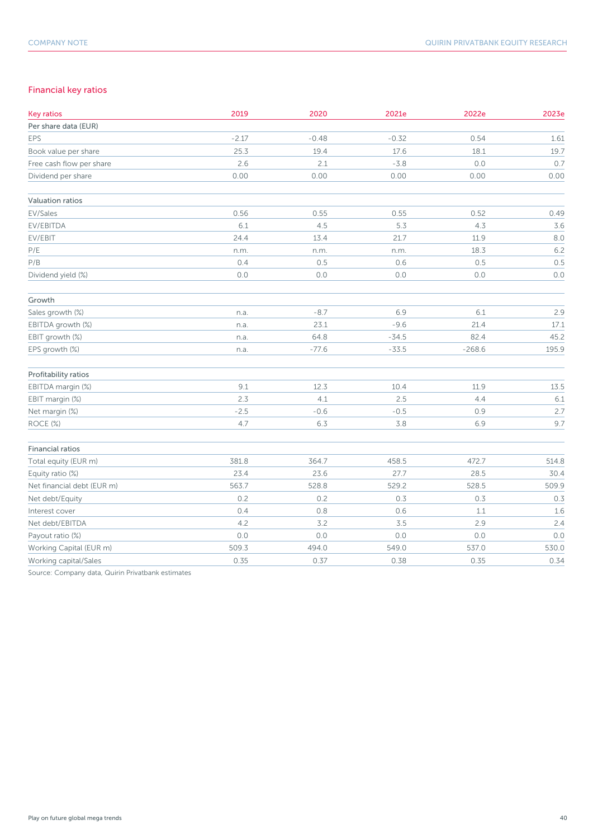#### Financial key ratios

| <b>Key ratios</b>          | 2019    | 2020    | 2021e   | 2022e    | 2023e |
|----------------------------|---------|---------|---------|----------|-------|
| Per share data (EUR)       |         |         |         |          |       |
| EPS                        | $-2.17$ | $-0.48$ | $-0.32$ | 0.54     | 1.61  |
| Book value per share       | 25.3    | 19.4    | 17.6    | 18.1     | 19.7  |
| Free cash flow per share   | 2.6     | 2.1     | $-3.8$  | 0.0      | 0.7   |
| Dividend per share         | 0.00    | 0.00    | 0.00    | 0.00     | 0.00  |
| Valuation ratios           |         |         |         |          |       |
| EV/Sales                   | 0.56    | 0.55    | 0.55    | 0.52     | 0.49  |
| EV/EBITDA                  | 6.1     | 4.5     | 5.3     | 4.3      | 3.6   |
| EV/EBIT                    | 24.4    | 13.4    | 21.7    | 11.9     | 8.0   |
| $\mathsf{P}/\mathsf{E}$    | n.m.    | n.m.    | n.m.    | 18.3     | 6.2   |
| P/B                        | 0.4     | 0.5     | 0.6     | 0.5      | 0.5   |
| Dividend yield (%)         | 0.0     | 0.0     | 0.0     | 0.0      | 0.0   |
| Growth                     |         |         |         |          |       |
| Sales growth (%)           | n.a.    | $-8.7$  | 6.9     | 6.1      | 2.9   |
| EBITDA growth (%)          | n.a.    | 23.1    | $-9.6$  | 21.4     | 17.1  |
| EBIT growth (%)            | n.a.    | 64.8    | $-34.5$ | 82.4     | 45.2  |
| EPS growth (%)             | n.a.    | $-77.6$ | $-33.5$ | $-268.6$ | 195.9 |
| Profitability ratios       |         |         |         |          |       |
| EBITDA margin (%)          | 9.1     | 12.3    | 10.4    | 11.9     | 13.5  |
| EBIT margin (%)            | 2.3     | 4.1     | 2.5     | 4.4      | 6.1   |
| Net margin (%)             | $-2.5$  | $-0.6$  | $-0.5$  | 0.9      | 2.7   |
| ROCE (%)                   | 4.7     | 6.3     | 3.8     | 6.9      | 9.7   |
| <b>Financial ratios</b>    |         |         |         |          |       |
| Total equity (EUR m)       | 381.8   | 364.7   | 458.5   | 472.7    | 514.8 |
| Equity ratio (%)           | 23.4    | 23.6    | 27.7    | 28.5     | 30.4  |
| Net financial debt (EUR m) | 563.7   | 528.8   | 529.2   | 528.5    | 509.9 |
| Net debt/Equity            | 0.2     | 0.2     | 0.3     | 0.3      | 0.3   |
| Interest cover             | 0.4     | 0.8     | 0.6     | 1.1      | 1.6   |
| Net debt/EBITDA            | 4.2     | 3.2     | 3.5     | 2.9      | 2.4   |
| Payout ratio (%)           | 0.0     | $0.0$   | $0.0$   | $0.0\,$  | 0.0   |
| Working Capital (EUR m)    | 509.3   | 494.0   | 549.0   | 537.0    | 530.0 |
| Working capital/Sales      | 0.35    | 0.37    | 0.38    | 0.35     | 0.34  |

Source: Company data, Quirin Privatbank estimates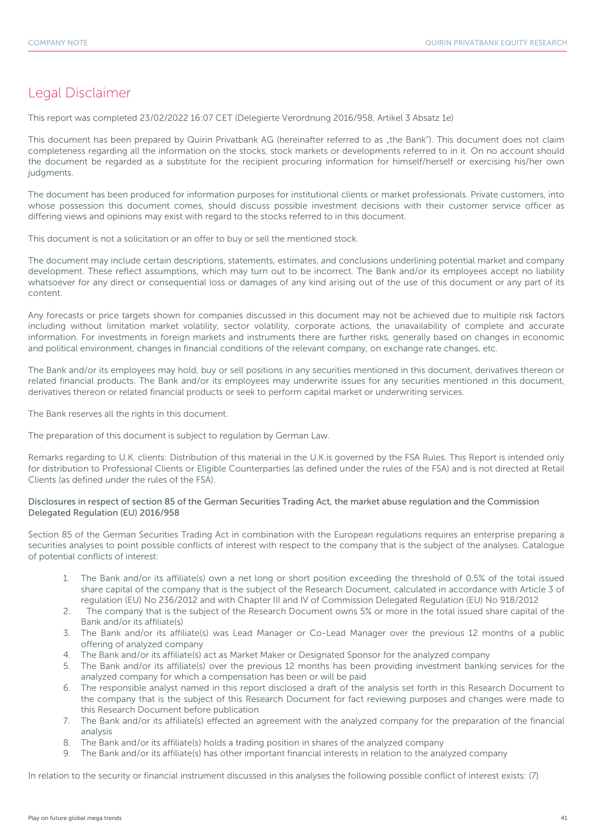## Legal Disclaimer

This report was completed 23/02/2022 16:07 CET (Delegierte Verordnung 2016/958, Artikel 3 Absatz 1e)

This document has been prepared by Quirin Privatbank AG (hereinafter referred to as "the Bank"). This document does not claim completeness regarding all the information on the stocks, stock markets or developments referred to in it. On no account should the document be regarded as a substitute for the recipient procuring information for himself/herself or exercising his/her own judgments.

The document has been produced for information purposes for institutional clients or market professionals. Private customers, into whose possession this document comes, should discuss possible investment decisions with their customer service officer as differing views and opinions may exist with regard to the stocks referred to in this document.

This document is not a solicitation or an offer to buy or sell the mentioned stock.

The document may include certain descriptions, statements, estimates, and conclusions underlining potential market and company development. These reflect assumptions, which may turn out to be incorrect. The Bank and/or its employees accept no liability whatsoever for any direct or consequential loss or damages of any kind arising out of the use of this document or any part of its content.

Any forecasts or price targets shown for companies discussed in this document may not be achieved due to multiple risk factors including without limitation market volatility, sector volatility, corporate actions, the unavailability of complete and accurate information. For investments in foreign markets and instruments there are further risks, generally based on changes in economic and political environment, changes in financial conditions of the relevant company, on exchange rate changes, etc.

The Bank and/or its employees may hold, buy or sell positions in any securities mentioned in this document, derivatives thereon or related financial products. The Bank and/or its employees may underwrite issues for any securities mentioned in this document, derivatives thereon or related financial products or seek to perform capital market or underwriting services.

The Bank reserves all the rights in this document.

The preparation of this document is subject to regulation by German Law.

Remarks regarding to U.K. clients: Distribution of this material in the U.K.is governed by the FSA Rules. This Report is intended only for distribution to Professional Clients or Eligible Counterparties (as defined under the rules of the FSA) and is not directed at Retail Clients (as defined under the rules of the FSA).

#### Disclosures in respect of section 85 of the German Securities Trading Act, the market abuse regulation and the Commission Delegated Regulation (EU) 2016/958

Section 85 of the German Securities Trading Act in combination with the European regulations requires an enterprise preparing a securities analyses to point possible conflicts of interest with respect to the company that is the subject of the analyses. Catalogue of potential conflicts of interest:

- 1. The Bank and/or its affiliate(s) own a net long or short position exceeding the threshold of 0,5% of the total issued share capital of the company that is the subject of the Research Document, calculated in accordance with Article 3 of regulation (EU) No 236/2012 and with Chapter III and IV of Commission Delegated Regulation (EU) No 918/2012
- 2. The company that is the subject of the Research Document owns 5% or more in the total issued share capital of the Bank and/or its affiliate(s)
- 3. The Bank and/or its affiliate(s) was Lead Manager or Co-Lead Manager over the previous 12 months of a public offering of analyzed company
- 4. The Bank and/or its affiliate(s) act as Market Maker or Designated Sponsor for the analyzed company
- 5. The Bank and/or its affiliate(s) over the previous 12 months has been providing investment banking services for the analyzed company for which a compensation has been or will be paid
- 6. The responsible analyst named in this report disclosed a draft of the analysis set forth in this Research Document to the company that is the subject of this Research Document for fact reviewing purposes and changes were made to this Research Document before publication
- 7. The Bank and/or its affiliate(s) effected an agreement with the analyzed company for the preparation of the financial analysis
- 8. The Bank and/or its affiliate(s) holds a trading position in shares of the analyzed company
- 9. The Bank and/or its affiliate(s) has other important financial interests in relation to the analyzed company

In relation to the security or financial instrument discussed in this analyses the following possible conflict of interest exists: (7)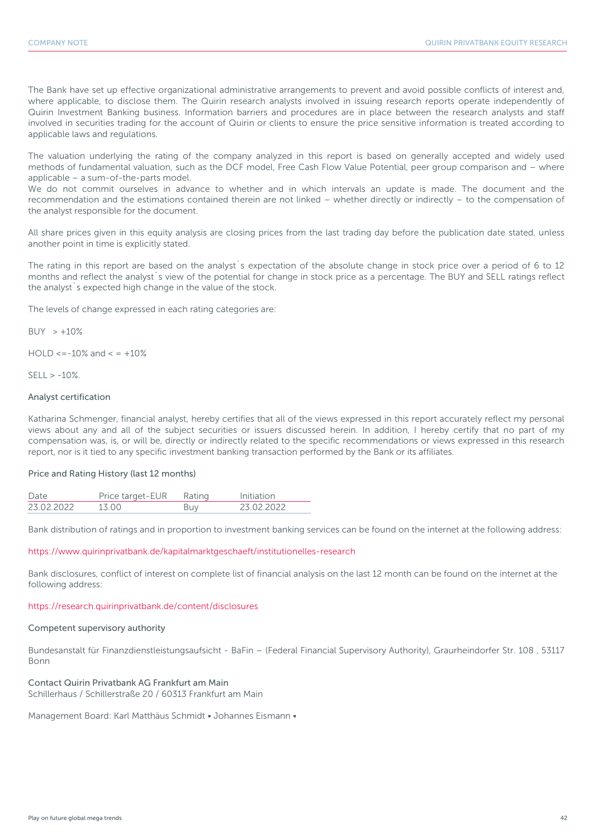The Bank have set up effective organizational administrative arrangements to prevent and avoid possible conflicts of interest and, where applicable, to disclose them. The Quirin research analysts involved in issuing research reports operate independently of Quirin Investment Banking business. Information barriers and procedures are in place between the research analysts and staff involved in securities trading for the account of Quirin or clients to ensure the price sensitive information is treated according to applicable laws and regulations.

The valuation underlying the rating of the company analyzed in this report is based on generally accepted and widely used methods of fundamental valuation, such as the DCF model, Free Cash Flow Value Potential, peer group comparison and – where applicable – a sum-of-the-parts model.

We do not commit ourselves in advance to whether and in which intervals an update is made. The document and the recommendation and the estimations contained therein are not linked – whether directly or indirectly – to the compensation of the analyst responsible for the document.

All share prices given in this equity analysis are closing prices from the last trading day before the publication date stated, unless another point in time is explicitly stated.

The rating in this report are based on the analyst´s expectation of the absolute change in stock price over a period of 6 to 12 months and reflect the analyst´s view of the potential for change in stock price as a percentage. The BUY and SELL ratings reflect the analyst´s expected high change in the value of the stock.

The levels of change expressed in each rating categories are:

 $BUY > +10%$ 

 $HOLD \le -10\%$  and  $\le +10\%$ 

 $SFII > -10%$ 

#### Analyst certification

Katharina Schmenger, financial analyst, hereby certifies that all of the views expressed in this report accurately reflect my personal views about any and all of the subject securities or issuers discussed herein. In addition, I hereby certify that no part of my compensation was, is, or will be, directly or indirectly related to the specific recommendations or views expressed in this research report, nor is it tied to any specific investment banking transaction performed by the Bank or its affiliates.

#### Price and Rating History (last 12 months)

| Date       | rice target-FUR- | Rafing |             |
|------------|------------------|--------|-------------|
| 23 02 2022 |                  |        | רכחכ כח דיז |

Bank distribution of ratings and in proportion to investment banking services can be found on the internet at the following address:

https://www.quirinprivatbank.de/kapitalmarktgeschaeft/institutionelles-research

Bank disclosures, conflict of interest on complete list of financial analysis on the last 12 month can be found on the internet at the following address:

#### https://research.quirinprivatbank.de/content/disclosures

#### Competent supervisory authority

Bundesanstalt für Finanzdienstleistungsaufsicht - BaFin – (Federal Financial Supervisory Authority), Graurheindorfer Str. 108 , 53117 Bonn

Contact Quirin Privatbank AG Frankfurt am Main Schillerhaus / Schillerstraße 20 / 60313 Frankfurt am Main

Management Board: Karl Matthäus Schmidt • Johannes Eismann •